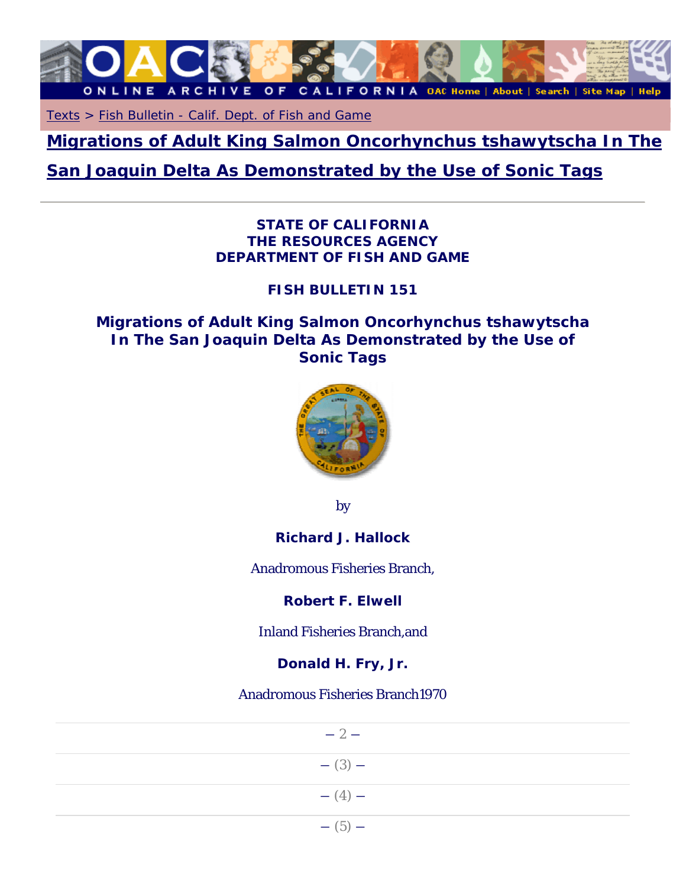

Texts > Fish Bulletin - Calif. Dept. of Fish and Game

**Migrations of Adult King Salmon Oncorhynchus tshawytscha In The** 

# **San Joaquin Delta As Demonstrated by the Use of Sonic Tags**

### *STATE OF CALIFORNIA THE RESOURCES AGENCY DEPARTMENT OF FISH AND GAME*

# *FISH BULLETIN 151*

# **Migrations of Adult King Salmon Oncorhynchus tshawytscha In The San Joaquin Delta As Demonstrated by the Use of Sonic Tags**



by

**Richard J. Hallock** 

Anadromous Fisheries Branch,

**Robert F. Elwell** 

Inland Fisheries Branch,and

**Donald H. Fry, Jr.** 

Anadromous Fisheries Branch1970

| $-2-$       |
|-------------|
| $-$ (3) $-$ |
| $- (4) -$   |
| $-$ (5) $-$ |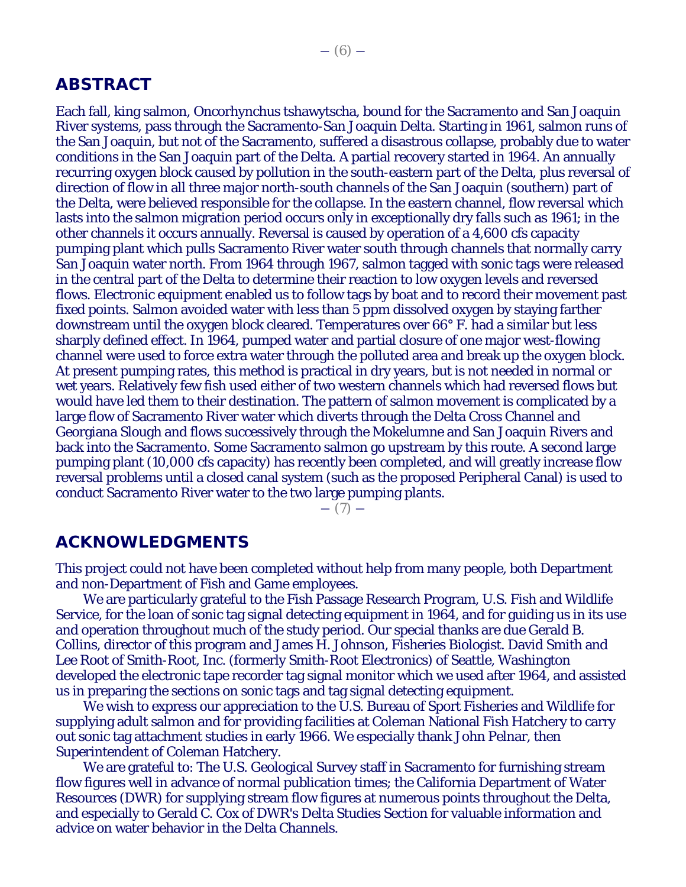### **ABSTRACT**

Each fall, king salmon, Oncorhynchus tshawytscha, bound for the Sacramento and San Joaquin River systems, pass through the Sacramento-San Joaquin Delta. Starting in 1961, salmon runs of the San Joaquin, but not of the Sacramento, suffered a disastrous collapse, probably due to water conditions in the San Joaquin part of the Delta. A partial recovery started in 1964. An annually recurring oxygen block caused by pollution in the south-eastern part of the Delta, plus reversal of direction of flow in all three major north-south channels of the San Joaquin (southern) part of the Delta, were believed responsible for the collapse. In the eastern channel, flow reversal which lasts into the salmon migration period occurs only in exceptionally dry falls such as 1961; in the other channels it occurs annually. Reversal is caused by operation of a 4,600 cfs capacity pumping plant which pulls Sacramento River water south through channels that normally carry San Joaquin water north. From 1964 through 1967, salmon tagged with sonic tags were released in the central part of the Delta to determine their reaction to low oxygen levels and reversed flows. Electronic equipment enabled us to follow tags by boat and to record their movement past fixed points. Salmon avoided water with less than 5 ppm dissolved oxygen by staying farther downstream until the oxygen block cleared. Temperatures over 66° F. had a similar but less sharply defined effect. In 1964, pumped water and partial closure of one major west-flowing channel were used to force extra water through the polluted area and break up the oxygen block. At present pumping rates, this method is practical in dry years, but is not needed in normal or wet years. Relatively few fish used either of two western channels which had reversed flows but would have led them to their destination. The pattern of salmon movement is complicated by a large flow of Sacramento River water which diverts through the Delta Cross Channel and Georgiana Slough and flows successively through the Mokelumne and San Joaquin Rivers and back into the Sacramento. Some Sacramento salmon go upstream by this route. A second large pumping plant (10,000 cfs capacity) has recently been completed, and will greatly increase flow reversal problems until a closed canal system (such as the proposed Peripheral Canal) is used to conduct Sacramento River water to the two large pumping plants.

 $-$  (7)  $-$ 

# **ACKNOWLEDGMENTS**

This project could not have been completed without help from many people, both Department and non-Department of Fish and Game employees.

We are particularly grateful to the Fish Passage Research Program, U.S. Fish and Wildlife Service, for the loan of sonic tag signal detecting equipment in 1964, and for guiding us in its use and operation throughout much of the study period. Our special thanks are due Gerald B. Collins, director of this program and James H. Johnson, Fisheries Biologist. David Smith and Lee Root of Smith-Root, Inc. (formerly Smith-Root Electronics) of Seattle, Washington developed the electronic tape recorder tag signal monitor which we used after 1964, and assisted us in preparing the sections on sonic tags and tag signal detecting equipment.

We wish to express our appreciation to the U.S. Bureau of Sport Fisheries and Wildlife for supplying adult salmon and for providing facilities at Coleman National Fish Hatchery to carry out sonic tag attachment studies in early 1966. We especially thank John Pelnar, then Superintendent of Coleman Hatchery.

We are grateful to: The U.S. Geological Survey staff in Sacramento for furnishing stream flow figures well in advance of normal publication times; the California Department of Water Resources (DWR) for supplying stream flow figures at numerous points throughout the Delta, and especially to Gerald C. Cox of DWR's Delta Studies Section for valuable information and advice on water behavior in the Delta Channels.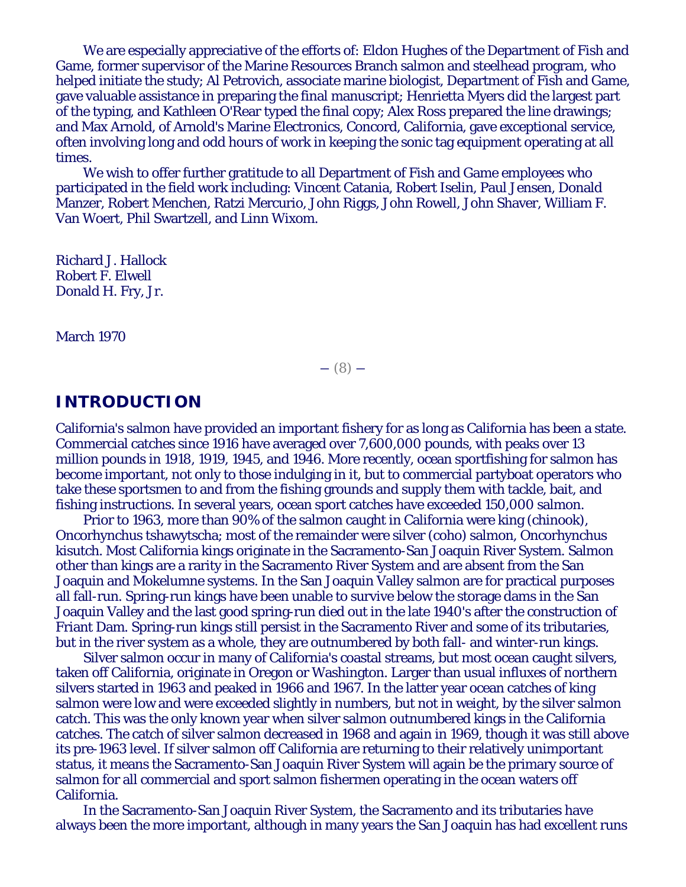We are especially appreciative of the efforts of: Eldon Hughes of the Department of Fish and Game, former supervisor of the Marine Resources Branch salmon and steelhead program, who helped initiate the study; Al Petrovich, associate marine biologist, Department of Fish and Game, gave valuable assistance in preparing the final manuscript; Henrietta Myers did the largest part of the typing, and Kathleen O'Rear typed the final copy; Alex Ross prepared the line drawings; and Max Arnold, of Arnold's Marine Electronics, Concord, California, gave exceptional service, often involving long and odd hours of work in keeping the sonic tag equipment operating at all times.

We wish to offer further gratitude to all Department of Fish and Game employees who participated in the field work including: Vincent Catania, Robert Iselin, Paul Jensen, Donald Manzer, Robert Menchen, Ratzi Mercurio, John Riggs, John Rowell, John Shaver, William F. Van Woert, Phil Swartzell, and Linn Wixom.

Richard J. Hallock Robert F. Elwell Donald H. Fry, Jr.

March 1970

 $-$  (8)  $-$ 

# **INTRODUCTION**

California's salmon have provided an important fishery for as long as California has been a state. Commercial catches since 1916 have averaged over 7,600,000 pounds, with peaks over 13 million pounds in 1918, 1919, 1945, and 1946. More recently, ocean sportfishing for salmon has become important, not only to those indulging in it, but to commercial partyboat operators who take these sportsmen to and from the fishing grounds and supply them with tackle, bait, and fishing instructions. In several years, ocean sport catches have exceeded 150,000 salmon.

Prior to 1963, more than 90% of the salmon caught in California were king (chinook), Oncorhynchus tshawytscha; most of the remainder were silver (coho) salmon, Oncorhynchus kisutch. Most California kings originate in the Sacramento-San Joaquin River System. Salmon other than kings are a rarity in the Sacramento River System and are absent from the San Joaquin and Mokelumne systems. In the San Joaquin Valley salmon are for practical purposes all fall-run. Spring-run kings have been unable to survive below the storage dams in the San Joaquin Valley and the last good spring-run died out in the late 1940's after the construction of Friant Dam. Spring-run kings still persist in the Sacramento River and some of its tributaries, but in the river system as a whole, they are outnumbered by both fall- and winter-run kings.

Silver salmon occur in many of California's coastal streams, but most ocean caught silvers, taken off California, originate in Oregon or Washington. Larger than usual influxes of northern silvers started in 1963 and peaked in 1966 and 1967. In the latter year ocean catches of king salmon were low and were exceeded slightly in numbers, but not in weight, by the silver salmon catch. This was the only known year when silver salmon outnumbered kings in the California catches. The catch of silver salmon decreased in 1968 and again in 1969, though it was still above its pre-1963 level. If silver salmon off California are returning to their relatively unimportant status, it means the Sacramento-San Joaquin River System will again be the primary source of salmon for all commercial and sport salmon fishermen operating in the ocean waters off California.

In the Sacramento-San Joaquin River System, the Sacramento and its tributaries have always been the more important, although in many years the San Joaquin has had excellent runs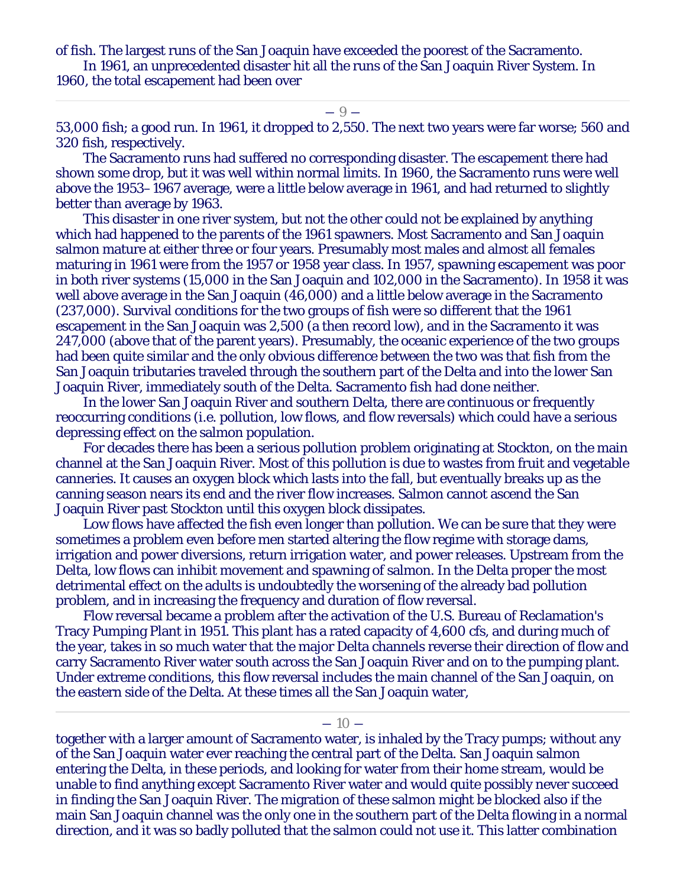of fish. The largest runs of the San Joaquin have exceeded the poorest of the Sacramento.

In 1961, an unprecedented disaster hit all the runs of the San Joaquin River System. In 1960, the total escapement had been over

#### $-9-$

53,000 fish; a good run. In 1961, it dropped to 2,550. The next two years were far worse; 560 and 320 fish, respectively.

The Sacramento runs had suffered no corresponding disaster. The escapement there had shown some drop, but it was well within normal limits. In 1960, the Sacramento runs were well above the 1953–1967 average, were a little below average in 1961, and had returned to slightly better than average by 1963.

This disaster in one river system, but not the other could not be explained by anything which had happened to the parents of the 1961 spawners. Most Sacramento and San Joaquin salmon mature at either three or four years. Presumably most males and almost all females maturing in 1961 were from the 1957 or 1958 year class. In 1957, spawning escapement was poor in both river systems (15,000 in the San Joaquin and 102,000 in the Sacramento). In 1958 it was well above average in the San Joaquin (46,000) and a little below average in the Sacramento (237,000). Survival conditions for the two groups of fish were so different that the 1961 escapement in the San Joaquin was 2,500 (a then record low), and in the Sacramento it was 247,000 (above that of the parent years). Presumably, the oceanic experience of the two groups had been quite similar and the only obvious difference between the two was that fish from the San Joaquin tributaries traveled through the southern part of the Delta and into the lower San Joaquin River, immediately south of the Delta. Sacramento fish had done neither.

In the lower San Joaquin River and southern Delta, there are continuous or frequently reoccurring conditions (i.e. pollution, low flows, and flow reversals) which could have a serious depressing effect on the salmon population.

For decades there has been a serious pollution problem originating at Stockton, on the main channel at the San Joaquin River. Most of this pollution is due to wastes from fruit and vegetable canneries. It causes an oxygen block which lasts into the fall, but eventually breaks up as the canning season nears its end and the river flow increases. Salmon cannot ascend the San Joaquin River past Stockton until this oxygen block dissipates.

Low flows have affected the fish even longer than pollution. We can be sure that they were sometimes a problem even before men started altering the flow regime with storage dams, irrigation and power diversions, return irrigation water, and power releases. Upstream from the Delta, low flows can inhibit movement and spawning of salmon. In the Delta proper the most detrimental effect on the adults is undoubtedly the worsening of the already bad pollution problem, and in increasing the frequency and duration of flow reversal.

Flow reversal became a problem after the activation of the U.S. Bureau of Reclamation's Tracy Pumping Plant in 1951. This plant has a rated capacity of 4,600 cfs, and during much of the year, takes in so much water that the major Delta channels reverse their direction of flow and carry Sacramento River water south across the San Joaquin River and on to the pumping plant. Under extreme conditions, this flow reversal includes the main channel of the San Joaquin, on the eastern side of the Delta. At these times all the San Joaquin water,

#### $-10-$

together with a larger amount of Sacramento water, is inhaled by the Tracy pumps; without any of the San Joaquin water ever reaching the central part of the Delta. San Joaquin salmon entering the Delta, in these periods, and looking for water from their home stream, would be unable to find anything except Sacramento River water and would quite possibly never succeed in finding the San Joaquin River. The migration of these salmon might be blocked also if the main San Joaquin channel was the only one in the southern part of the Delta flowing in a normal direction, and it was so badly polluted that the salmon could not use it. This latter combination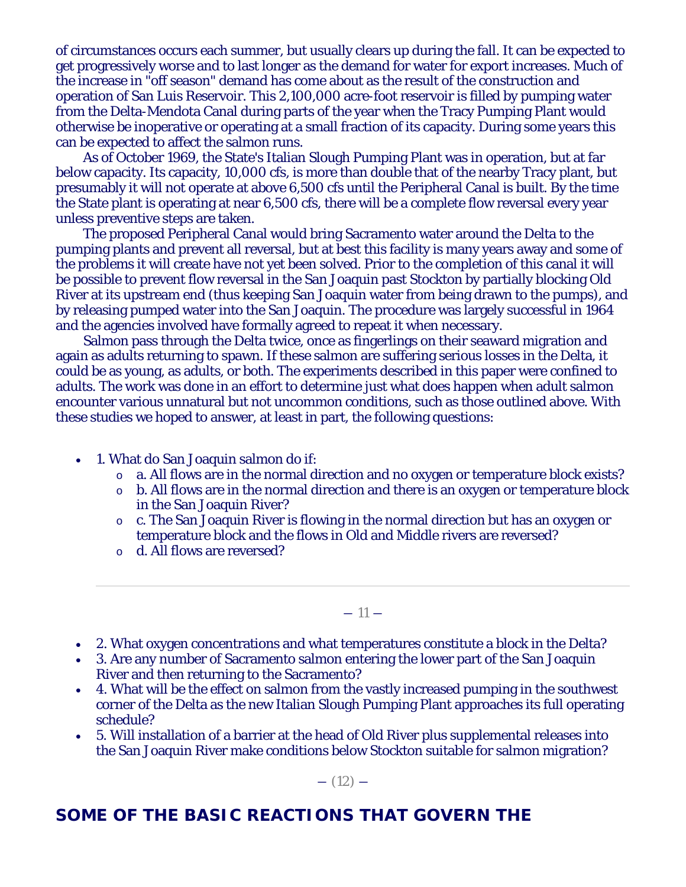of circumstances occurs each summer, but usually clears up during the fall. It can be expected to get progressively worse and to last longer as the demand for water for export increases. Much of the increase in "off season" demand has come about as the result of the construction and operation of San Luis Reservoir. This 2,100,000 acre-foot reservoir is filled by pumping water from the Delta-Mendota Canal during parts of the year when the Tracy Pumping Plant would otherwise be inoperative or operating at a small fraction of its capacity. During some years this can be expected to affect the salmon runs.

As of October 1969, the State's Italian Slough Pumping Plant was in operation, but at far below capacity. Its capacity, 10,000 cfs, is more than double that of the nearby Tracy plant, but presumably it will not operate at above 6,500 cfs until the Peripheral Canal is built. By the time the State plant is operating at near 6,500 cfs, there will be a complete flow reversal every year unless preventive steps are taken.

The proposed Peripheral Canal would bring Sacramento water around the Delta to the pumping plants and prevent all reversal, but at best this facility is many years away and some of the problems it will create have not yet been solved. Prior to the completion of this canal it will be possible to prevent flow reversal in the San Joaquin past Stockton by partially blocking Old River at its upstream end (thus keeping San Joaquin water from being drawn to the pumps), and by releasing pumped water into the San Joaquin. The procedure was largely successful in 1964 and the agencies involved have formally agreed to repeat it when necessary.

Salmon pass through the Delta twice, once as fingerlings on their seaward migration and again as adults returning to spawn. If these salmon are suffering serious losses in the Delta, it could be as young, as adults, or both. The experiments described in this paper were confined to adults. The work was done in an effort to determine just what does happen when adult salmon encounter various unnatural but not uncommon conditions, such as those outlined above. With these studies we hoped to answer, at least in part, the following questions:

- 1. What do San Joaquin salmon do if:
	- o a. All flows are in the normal direction and no oxygen or temperature block exists?
	- o b. All flows are in the normal direction and there is an oxygen or temperature block in the San Joaquin River?
	- o c. The San Joaquin River is flowing in the normal direction but has an oxygen or temperature block and the flows in Old and Middle rivers are reversed?
	- o d. All flows are reversed?

 $-11-$ 

- 2. What oxygen concentrations and what temperatures constitute a block in the Delta?
- 3. Are any number of Sacramento salmon entering the lower part of the San Joaquin River and then returning to the Sacramento?
- 4. What will be the effect on salmon from the vastly increased pumping in the southwest corner of the Delta as the new Italian Slough Pumping Plant approaches its full operating schedule?
- 5. Will installation of a barrier at the head of Old River plus supplemental releases into the San Joaquin River make conditions below Stockton suitable for salmon migration?

 $-$  (12)  $-$ 

# **SOME OF THE BASIC REACTIONS THAT GOVERN THE**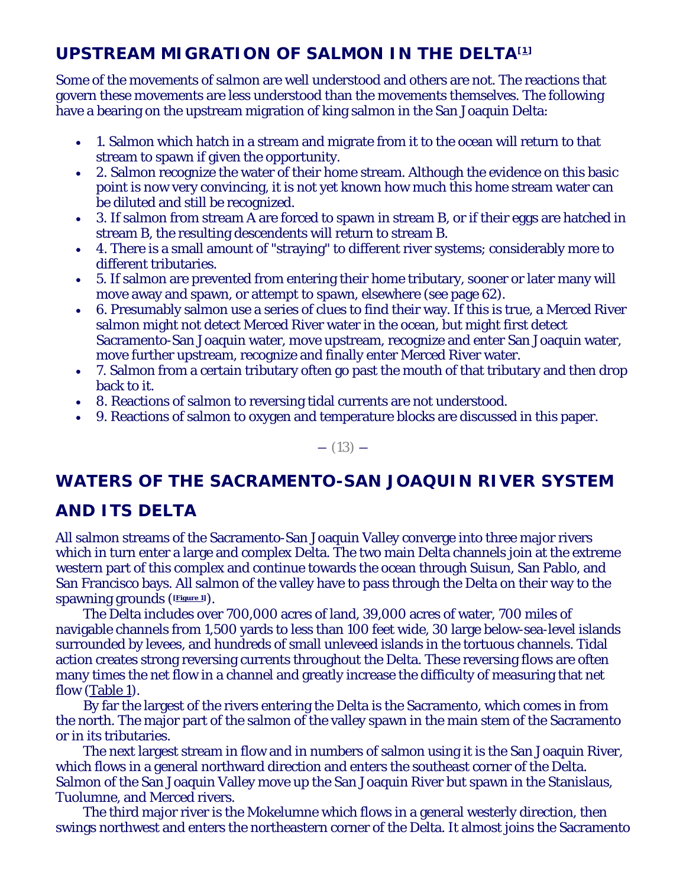# **UPSTREAM MIGRATION OF SALMON IN THE DELTA[1]**

Some of the movements of salmon are well understood and others are not. The reactions that govern these movements are less understood than the movements themselves. The following have a bearing on the upstream migration of king salmon in the San Joaquin Delta:

- 1. Salmon which hatch in a stream and migrate from it to the ocean will return to that stream to spawn if given the opportunity.
- 2. Salmon recognize the water of their home stream. Although the evidence on this basic point is now very convincing, it is not yet known how much this home stream water can be diluted and still be recognized.
- 3. If salmon from stream A are forced to spawn in stream B, or if their eggs are hatched in stream B, the resulting descendents will return to stream B.
- 4. There is a small amount of "straying" to different river systems; considerably more to different tributaries.
- 5. If salmon are prevented from entering their home tributary, sooner or later many will move away and spawn, or attempt to spawn, elsewhere (see page 62).
- 6. Presumably salmon use a series of clues to find their way. If this is true, a Merced River salmon might not detect Merced River water in the ocean, but might first detect Sacramento-San Joaquin water, move upstream, recognize and enter San Joaquin water, move further upstream, recognize and finally enter Merced River water.
- 7. Salmon from a certain tributary often go past the mouth of that tributary and then drop back to it.
- 8. Reactions of salmon to reversing tidal currents are not understood.
- 9. Reactions of salmon to oxygen and temperature blocks are discussed in this paper.

 $-$  (13)  $-$ 

# **WATERS OF THE SACRAMENTO-SAN JOAQUIN RIVER SYSTEM**

# **AND ITS DELTA**

All salmon streams of the Sacramento-San Joaquin Valley converge into three major rivers which in turn enter a large and complex Delta. The two main Delta channels join at the extreme western part of this complex and continue towards the ocean through Suisun, San Pablo, and San Francisco bays. All salmon of the valley have to pass through the Delta on their way to the spawning grounds (**[Figure 1]**).

The Delta includes over 700,000 acres of land, 39,000 acres of water, 700 miles of navigable channels from 1,500 yards to less than 100 feet wide, 30 large below-sea-level islands surrounded by levees, and hundreds of small unleveed islands in the tortuous channels. Tidal action creates strong reversing currents throughout the Delta. These reversing flows are often many times the net flow in a channel and greatly increase the difficulty of measuring that net flow (Table 1).

By far the largest of the rivers entering the Delta is the Sacramento, which comes in from the north. The major part of the salmon of the valley spawn in the main stem of the Sacramento or in its tributaries.

The next largest stream in flow and in numbers of salmon using it is the San Joaquin River, which flows in a general northward direction and enters the southeast corner of the Delta. Salmon of the San Joaquin Valley move up the San Joaquin River but spawn in the Stanislaus, Tuolumne, and Merced rivers.

The third major river is the Mokelumne which flows in a general westerly direction, then swings northwest and enters the northeastern corner of the Delta. It almost joins the Sacramento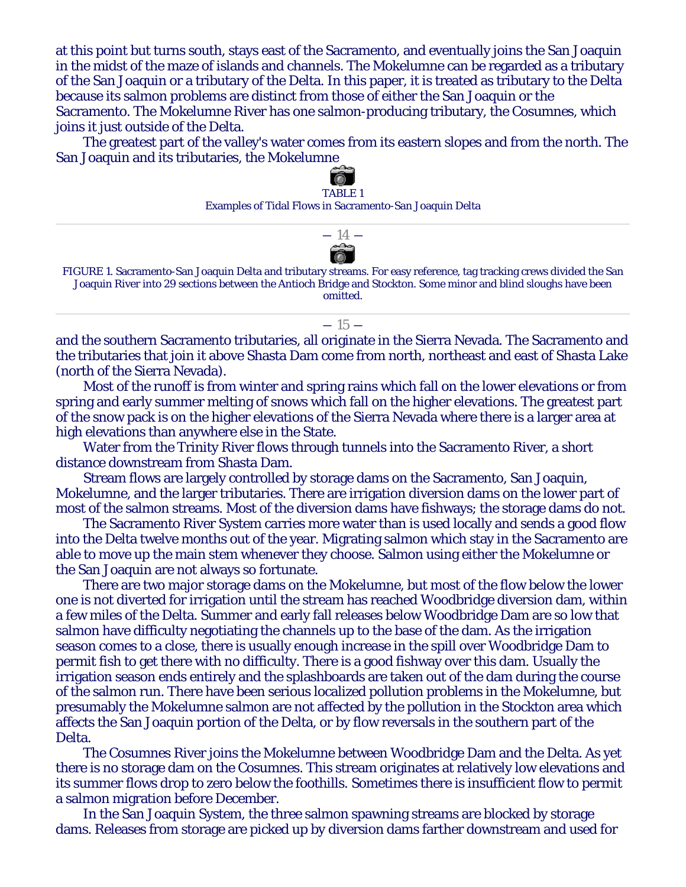at this point but turns south, stays east of the Sacramento, and eventually joins the San Joaquin in the midst of the maze of islands and channels. The Mokelumne can be regarded as a tributary of the San Joaquin or a tributary of the Delta. In this paper, it is treated as tributary to the Delta because its salmon problems are distinct from those of either the San Joaquin or the Sacramento. The Mokelumne River has one salmon-producing tributary, the Cosumnes, which joins it just outside of the Delta.

The greatest part of the valley's water comes from its eastern slopes and from the north. The San Joaquin and its tributaries, the Mokelumne



and the southern Sacramento tributaries, all originate in the Sierra Nevada. The Sacramento and the tributaries that join it above Shasta Dam come from north, northeast and east of Shasta Lake (north of the Sierra Nevada).

Most of the runoff is from winter and spring rains which fall on the lower elevations or from spring and early summer melting of snows which fall on the higher elevations. The greatest part of the snow pack is on the higher elevations of the Sierra Nevada where there is a larger area at high elevations than anywhere else in the State.

Water from the Trinity River flows through tunnels into the Sacramento River, a short distance downstream from Shasta Dam.

Stream flows are largely controlled by storage dams on the Sacramento, San Joaquin, Mokelumne, and the larger tributaries. There are irrigation diversion dams on the lower part of most of the salmon streams. Most of the diversion dams have fishways; the storage dams do not.

The Sacramento River System carries more water than is used locally and sends a good flow into the Delta twelve months out of the year. Migrating salmon which stay in the Sacramento are able to move up the main stem whenever they choose. Salmon using either the Mokelumne or the San Joaquin are not always so fortunate.

There are two major storage dams on the Mokelumne, but most of the flow below the lower one is not diverted for irrigation until the stream has reached Woodbridge diversion dam, within a few miles of the Delta. Summer and early fall releases below Woodbridge Dam are so low that salmon have difficulty negotiating the channels up to the base of the dam. As the irrigation season comes to a close, there is usually enough increase in the spill over Woodbridge Dam to permit fish to get there with no difficulty. There is a good fishway over this dam. Usually the irrigation season ends entirely and the splashboards are taken out of the dam during the course of the salmon run. There have been serious localized pollution problems in the Mokelumne, but presumably the Mokelumne salmon are not affected by the pollution in the Stockton area which affects the San Joaquin portion of the Delta, or by flow reversals in the southern part of the Delta.

The Cosumnes River joins the Mokelumne between Woodbridge Dam and the Delta. As yet there is no storage dam on the Cosumnes. This stream originates at relatively low elevations and its summer flows drop to zero below the foothills. Sometimes there is insufficient flow to permit a salmon migration before December.

In the San Joaquin System, the three salmon spawning streams are blocked by storage dams. Releases from storage are picked up by diversion dams farther downstream and used for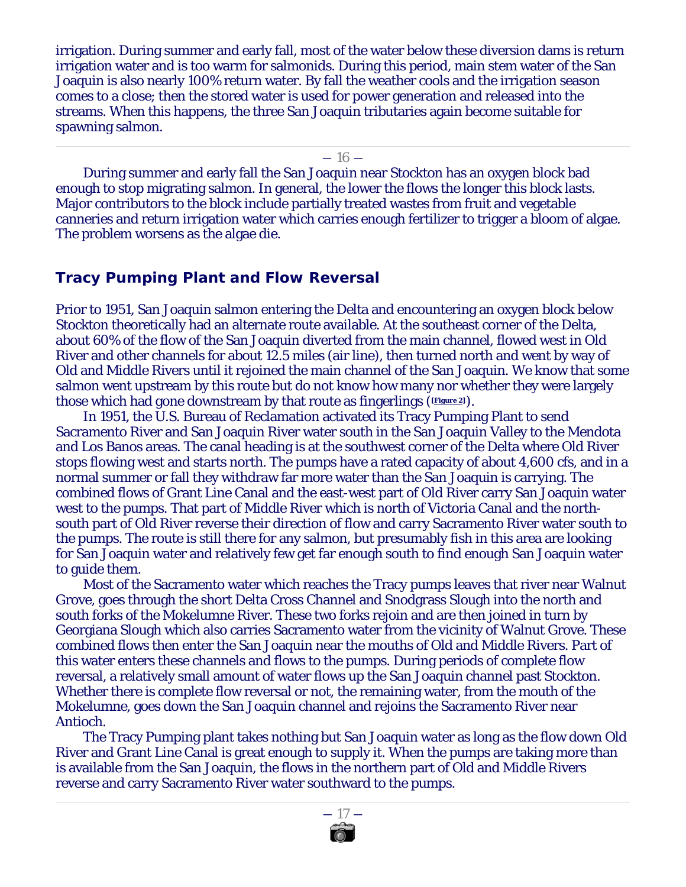irrigation. During summer and early fall, most of the water below these diversion dams is return irrigation water and is too warm for salmonids. During this period, main stem water of the San Joaquin is also nearly 100% return water. By fall the weather cools and the irrigation season comes to a close; then the stored water is used for power generation and released into the streams. When this happens, the three San Joaquin tributaries again become suitable for spawning salmon.

 $-16-$ 

During summer and early fall the San Joaquin near Stockton has an oxygen block bad enough to stop migrating salmon. In general, the lower the flows the longer this block lasts. Major contributors to the block include partially treated wastes from fruit and vegetable canneries and return irrigation water which carries enough fertilizer to trigger a bloom of algae. The problem worsens as the algae die.

# **Tracy Pumping Plant and Flow Reversal**

Prior to 1951, San Joaquin salmon entering the Delta and encountering an oxygen block below Stockton theoretically had an alternate route available. At the southeast corner of the Delta, about 60% of the flow of the San Joaquin diverted from the main channel, flowed west in Old River and other channels for about 12.5 miles (air line), then turned north and went by way of Old and Middle Rivers until it rejoined the main channel of the San Joaquin. We know that some salmon went upstream by this route but do not know how many nor whether they were largely those which had gone downstream by that route as fingerlings (**[Figure 2]**).

In 1951, the U.S. Bureau of Reclamation activated its Tracy Pumping Plant to send Sacramento River and San Joaquin River water south in the San Joaquin Valley to the Mendota and Los Banos areas. The canal heading is at the southwest corner of the Delta where Old River stops flowing west and starts north. The pumps have a rated capacity of about 4,600 cfs, and in a normal summer or fall they withdraw far more water than the San Joaquin is carrying. The combined flows of Grant Line Canal and the east-west part of Old River carry San Joaquin water west to the pumps. That part of Middle River which is north of Victoria Canal and the northsouth part of Old River reverse their direction of flow and carry Sacramento River water south to the pumps. The route is still there for any salmon, but presumably fish in this area are looking for San Joaquin water and relatively few get far enough south to find enough San Joaquin water to guide them.

Most of the Sacramento water which reaches the Tracy pumps leaves that river near Walnut Grove, goes through the short Delta Cross Channel and Snodgrass Slough into the north and south forks of the Mokelumne River. These two forks rejoin and are then joined in turn by Georgiana Slough which also carries Sacramento water from the vicinity of Walnut Grove. These combined flows then enter the San Joaquin near the mouths of Old and Middle Rivers. Part of this water enters these channels and flows to the pumps. During periods of complete flow reversal, a relatively small amount of water flows up the San Joaquin channel past Stockton. Whether there is complete flow reversal or not, the remaining water, from the mouth of the Mokelumne, goes down the San Joaquin channel and rejoins the Sacramento River near Antioch.

The Tracy Pumping plant takes nothing but San Joaquin water as long as the flow down Old River and Grant Line Canal is great enough to supply it. When the pumps are taking more than is available from the San Joaquin, the flows in the northern part of Old and Middle Rivers reverse and carry Sacramento River water southward to the pumps.

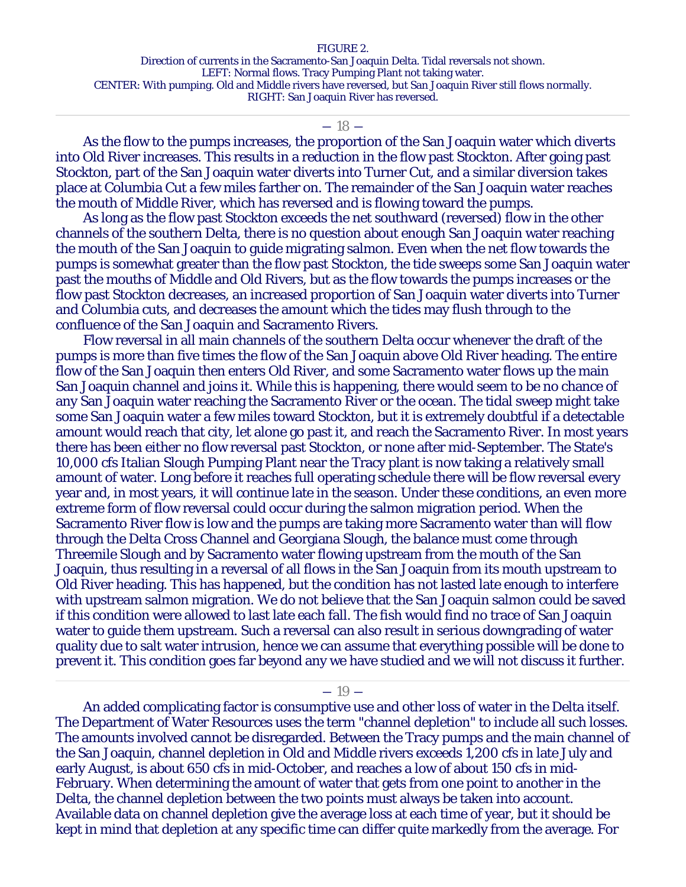#### FIGURE 2.

Direction of currents in the Sacramento-San Joaquin Delta. Tidal reversals not shown. LEFT: Normal flows. Tracy Pumping Plant not taking water. CENTER: With pumping. Old and Middle rivers have reversed, but San Joaquin River still flows normally. RIGHT: San Joaquin River has reversed.

#### $-18-$

As the flow to the pumps increases, the proportion of the San Joaquin water which diverts into Old River increases. This results in a reduction in the flow past Stockton. After going past Stockton, part of the San Joaquin water diverts into Turner Cut, and a similar diversion takes place at Columbia Cut a few miles farther on. The remainder of the San Joaquin water reaches the mouth of Middle River, which has reversed and is flowing toward the pumps.

As long as the flow past Stockton exceeds the net southward (reversed) flow in the other channels of the southern Delta, there is no question about enough San Joaquin water reaching the mouth of the San Joaquin to guide migrating salmon. Even when the net flow towards the pumps is somewhat greater than the flow past Stockton, the tide sweeps some San Joaquin water past the mouths of Middle and Old Rivers, but as the flow towards the pumps increases or the flow past Stockton decreases, an increased proportion of San Joaquin water diverts into Turner and Columbia cuts, and decreases the amount which the tides may flush through to the confluence of the San Joaquin and Sacramento Rivers.

Flow reversal in all main channels of the southern Delta occur whenever the draft of the pumps is more than five times the flow of the San Joaquin above Old River heading. The entire flow of the San Joaquin then enters Old River, and some Sacramento water flows up the main San Joaquin channel and joins it. While this is happening, there would seem to be no chance of any San Joaquin water reaching the Sacramento River or the ocean. The tidal sweep might take some San Joaquin water a few miles toward Stockton, but it is extremely doubtful if a detectable amount would reach that city, let alone go past it, and reach the Sacramento River. In most years there has been either no flow reversal past Stockton, or none after mid-September. The State's 10,000 cfs Italian Slough Pumping Plant near the Tracy plant is now taking a relatively small amount of water. Long before it reaches full operating schedule there will be flow reversal every year and, in most years, it will continue late in the season. Under these conditions, an even more extreme form of flow reversal could occur during the salmon migration period. When the Sacramento River flow is low and the pumps are taking more Sacramento water than will flow through the Delta Cross Channel and Georgiana Slough, the balance must come through Threemile Slough and by Sacramento water flowing upstream from the mouth of the San Joaquin, thus resulting in a reversal of all flows in the San Joaquin from its mouth upstream to Old River heading. This has happened, but the condition has not lasted late enough to interfere with upstream salmon migration. We do not believe that the San Joaquin salmon could be saved if this condition were allowed to last late each fall. The fish would find no trace of San Joaquin water to guide them upstream. Such a reversal can also result in serious downgrading of water quality due to salt water intrusion, hence we can assume that everything possible will be done to prevent it. This condition goes far beyond any we have studied and we will not discuss it further.

 $-19-$ 

An added complicating factor is consumptive use and other loss of water in the Delta itself. The Department of Water Resources uses the term "channel depletion" to include all such losses. The amounts involved cannot be disregarded. Between the Tracy pumps and the main channel of the San Joaquin, channel depletion in Old and Middle rivers exceeds 1,200 cfs in late July and early August, is about 650 cfs in mid-October, and reaches a low of about 150 cfs in mid-February. When determining the amount of water that gets from one point to another in the Delta, the channel depletion between the two points must always be taken into account. Available data on channel depletion give the average loss at each time of year, but it should be kept in mind that depletion at any specific time can differ quite markedly from the average. For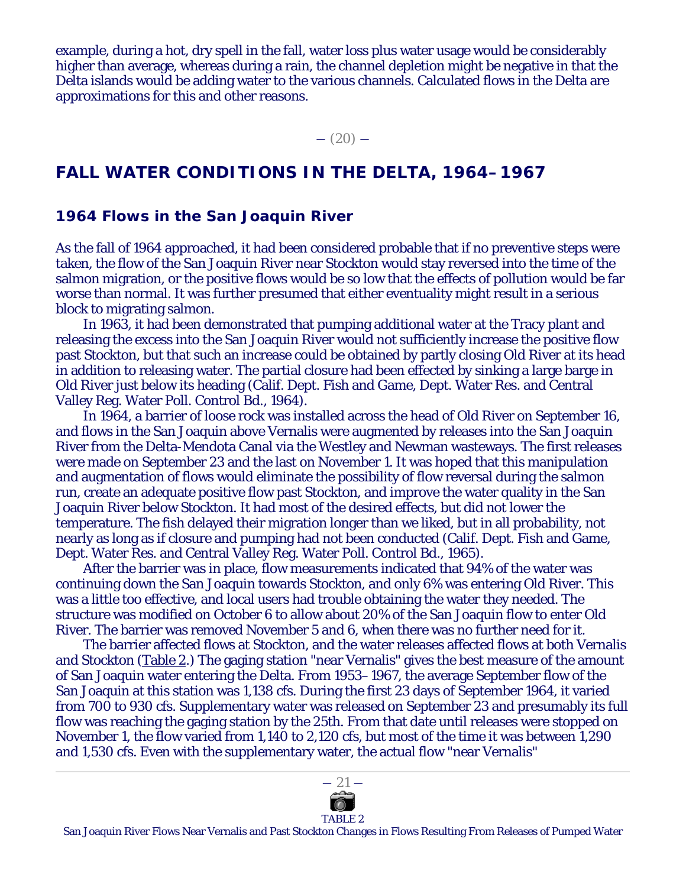example, during a hot, dry spell in the fall, water loss plus water usage would be considerably higher than average, whereas during a rain, the channel depletion might be negative in that the Delta islands would be adding water to the various channels. Calculated flows in the Delta are approximations for this and other reasons.

 $-$  (20)  $-$ 

# **FALL WATER CONDITIONS IN THE DELTA, 1964–1967**

#### **1964 Flows in the San Joaquin River**

As the fall of 1964 approached, it had been considered probable that if no preventive steps were taken, the flow of the San Joaquin River near Stockton would stay reversed into the time of the salmon migration, or the positive flows would be so low that the effects of pollution would be far worse than normal. It was further presumed that either eventuality might result in a serious block to migrating salmon.

In 1963, it had been demonstrated that pumping additional water at the Tracy plant and releasing the excess into the San Joaquin River would not sufficiently increase the positive flow past Stockton, but that such an increase could be obtained by partly closing Old River at its head in addition to releasing water. The partial closure had been effected by sinking a large barge in Old River just below its heading (Calif. Dept. Fish and Game, Dept. Water Res. and Central Valley Reg. Water Poll. Control Bd., 1964).

In 1964, a barrier of loose rock was installed across the head of Old River on September 16, and flows in the San Joaquin above Vernalis were augmented by releases into the San Joaquin River from the Delta-Mendota Canal via the Westley and Newman wasteways. The first releases were made on September 23 and the last on November 1. It was hoped that this manipulation and augmentation of flows would eliminate the possibility of flow reversal during the salmon run, create an adequate positive flow past Stockton, and improve the water quality in the San Joaquin River below Stockton. It had most of the desired effects, but did not lower the temperature. The fish delayed their migration longer than we liked, but in all probability, not nearly as long as if closure and pumping had not been conducted (Calif. Dept. Fish and Game, Dept. Water Res. and Central Valley Reg. Water Poll. Control Bd., 1965).

After the barrier was in place, flow measurements indicated that 94% of the water was continuing down the San Joaquin towards Stockton, and only 6% was entering Old River. This was a little too effective, and local users had trouble obtaining the water they needed. The structure was modified on October 6 to allow about 20% of the San Joaquin flow to enter Old River. The barrier was removed November 5 and 6, when there was no further need for it.

The barrier affected flows at Stockton, and the water releases affected flows at both Vernalis and Stockton (Table 2.) The gaging station "near Vernalis" gives the best measure of the amount of San Joaquin water entering the Delta. From 1953–1967, the average September flow of the San Joaquin at this station was 1,138 cfs. During the first 23 days of September 1964, it varied from 700 to 930 cfs. Supplementary water was released on September 23 and presumably its full flow was reaching the gaging station by the 25th. From that date until releases were stopped on November 1, the flow varied from 1,140 to 2,120 cfs, but most of the time it was between 1,290 and 1,530 cfs. Even with the supplementary water, the actual flow "near Vernalis"



San Joaquin River Flows Near Vernalis and Past Stockton Changes in Flows Resulting From Releases of Pumped Water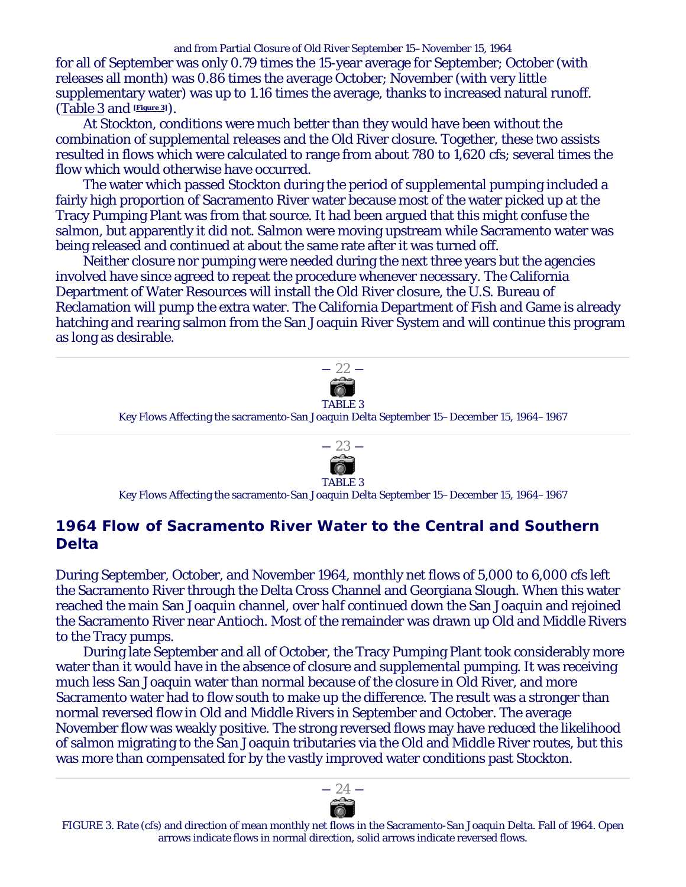and from Partial Closure of Old River September 15–November 15, 1964 for all of September was only 0.79 times the 15-year average for September; October (with releases all month) was 0.86 times the average October; November (with very little supplementary water) was up to 1.16 times the average, thanks to increased natural runoff. (Table 3 and **[Figure 3]**).

At Stockton, conditions were much better than they would have been without the combination of supplemental releases and the Old River closure. Together, these two assists resulted in flows which were calculated to range from about 780 to 1,620 cfs; several times the flow which would otherwise have occurred.

The water which passed Stockton during the period of supplemental pumping included a fairly high proportion of Sacramento River water because most of the water picked up at the Tracy Pumping Plant was from that source. It had been argued that this might confuse the salmon, but apparently it did not. Salmon were moving upstream while Sacramento water was being released and continued at about the same rate after it was turned off.

Neither closure nor pumping were needed during the next three years but the agencies involved have since agreed to repeat the procedure whenever necessary. The California Department of Water Resources will install the Old River closure, the U.S. Bureau of Reclamation will pump the extra water. The California Department of Fish and Game is already hatching and rearing salmon from the San Joaquin River System and will continue this program as long as desirable.



Key Flows Affecting the sacramento-San Joaquin Delta September 15–December 15, 1964–1967



Key Flows Affecting the sacramento-San Joaquin Delta September 15–December 15, 1964–1967

# **1964 Flow of Sacramento River Water to the Central and Southern Delta**

During September, October, and November 1964, monthly net flows of 5,000 to 6,000 cfs left the Sacramento River through the Delta Cross Channel and Georgiana Slough. When this water reached the main San Joaquin channel, over half continued down the San Joaquin and rejoined the Sacramento River near Antioch. Most of the remainder was drawn up Old and Middle Rivers to the Tracy pumps.

During late September and all of October, the Tracy Pumping Plant took considerably more water than it would have in the absence of closure and supplemental pumping. It was receiving much less San Joaquin water than normal because of the closure in Old River, and more Sacramento water had to flow south to make up the difference. The result was a stronger than normal reversed flow in Old and Middle Rivers in September and October. The average November flow was weakly positive. The strong reversed flows may have reduced the likelihood of salmon migrating to the San Joaquin tributaries via the Old and Middle River routes, but this was more than compensated for by the vastly improved water conditions past Stockton.



FIGURE 3. Rate (cfs) and direction of mean monthly net flows in the Sacramento-San Joaquin Delta. Fall of 1964. Open arrows indicate flows in normal direction, solid arrows indicate reversed flows.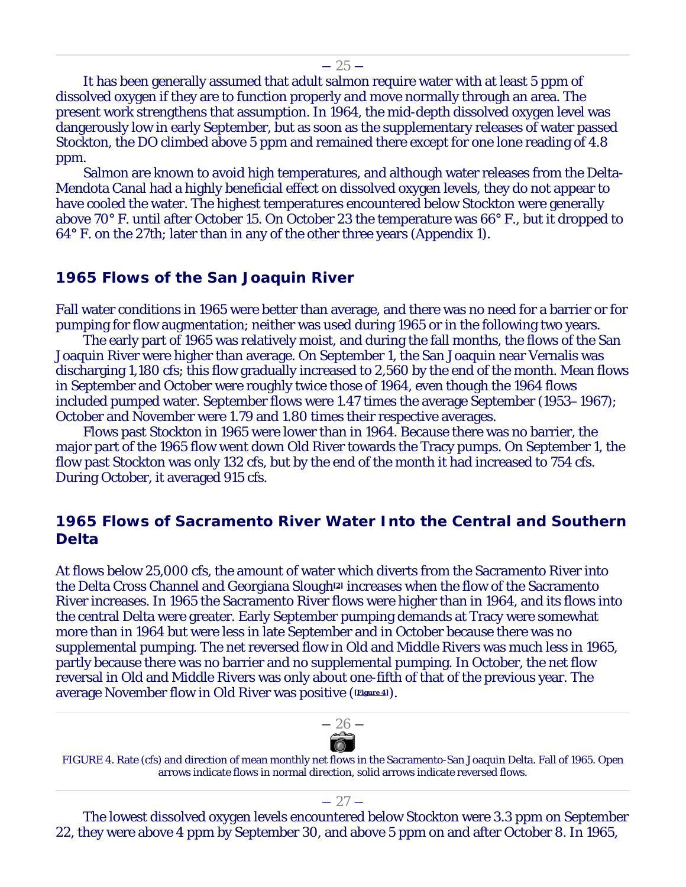$-25-$ 

It has been generally assumed that adult salmon require water with at least 5 ppm of dissolved oxygen if they are to function properly and move normally through an area. The present work strengthens that assumption. In 1964, the mid-depth dissolved oxygen level was dangerously low in early September, but as soon as the supplementary releases of water passed Stockton, the DO climbed above 5 ppm and remained there except for one lone reading of 4.8 ppm.

Salmon are known to avoid high temperatures, and although water releases from the Delta-Mendota Canal had a highly beneficial effect on dissolved oxygen levels, they do not appear to have cooled the water. The highest temperatures encountered below Stockton were generally above 70° F. until after October 15. On October 23 the temperature was 66° F., but it dropped to 64° F. on the 27th; later than in any of the other three years (Appendix 1).

# **1965 Flows of the San Joaquin River**

Fall water conditions in 1965 were better than average, and there was no need for a barrier or for pumping for flow augmentation; neither was used during 1965 or in the following two years.

The early part of 1965 was relatively moist, and during the fall months, the flows of the San Joaquin River were higher than average. On September 1, the San Joaquin near Vernalis was discharging 1,180 cfs; this flow gradually increased to 2,560 by the end of the month. Mean flows in September and October were roughly twice those of 1964, even though the 1964 flows included pumped water. September flows were 1.47 times the average September (1953–1967); October and November were 1.79 and 1.80 times their respective averages.

Flows past Stockton in 1965 were lower than in 1964. Because there was no barrier, the major part of the 1965 flow went down Old River towards the Tracy pumps. On September 1, the flow past Stockton was only 132 cfs, but by the end of the month it had increased to 754 cfs. During October, it averaged 915 cfs.

# **1965 Flows of Sacramento River Water Into the Central and Southern Delta**

At flows below 25,000 cfs, the amount of water which diverts from the Sacramento River into the Delta Cross Channel and Georgiana Slough**[2]** increases when the flow of the Sacramento River increases. In 1965 the Sacramento River flows were higher than in 1964, and its flows into the central Delta were greater. Early September pumping demands at Tracy were somewhat more than in 1964 but were less in late September and in October because there was no supplemental pumping. The net reversed flow in Old and Middle Rivers was much less in 1965, partly because there was no barrier and no supplemental pumping. In October, the net flow reversal in Old and Middle Rivers was only about one-fifth of that of the previous year. The average November flow in Old River was positive (**[Figure 4]**).



FIGURE 4. Rate (cfs) and direction of mean monthly net flows in the Sacramento-San Joaquin Delta. Fall of 1965. Open arrows indicate flows in normal direction, solid arrows indicate reversed flows.

The lowest dissolved oxygen levels encountered below Stockton were 3.3 ppm on September 22, they were above 4 ppm by September 30, and above 5 ppm on and after October 8. In 1965,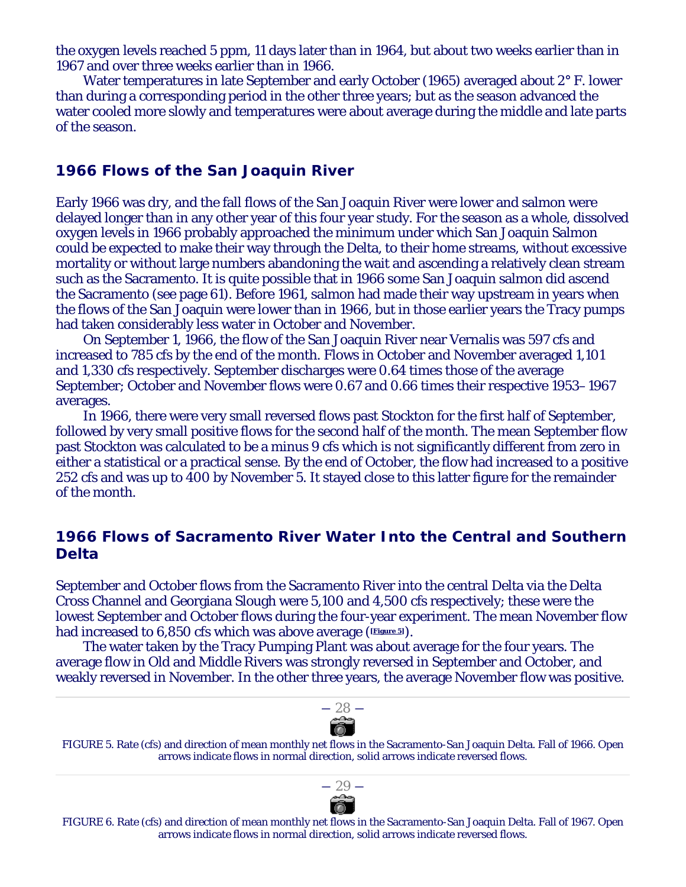the oxygen levels reached 5 ppm, 11 days later than in 1964, but about two weeks earlier than in 1967 and over three weeks earlier than in 1966.

Water temperatures in late September and early October (1965) averaged about 2° F. lower than during a corresponding period in the other three years; but as the season advanced the water cooled more slowly and temperatures were about average during the middle and late parts of the season.

#### **1966 Flows of the San Joaquin River**

Early 1966 was dry, and the fall flows of the San Joaquin River were lower and salmon were delayed longer than in any other year of this four year study. For the season as a whole, dissolved oxygen levels in 1966 probably approached the minimum under which San Joaquin Salmon could be expected to make their way through the Delta, to their home streams, without excessive mortality or without large numbers abandoning the wait and ascending a relatively clean stream such as the Sacramento. It is quite possible that in 1966 some San Joaquin salmon did ascend the Sacramento (see page 61). Before 1961, salmon had made their way upstream in years when the flows of the San Joaquin were lower than in 1966, but in those earlier years the Tracy pumps had taken considerably less water in October and November.

On September 1, 1966, the flow of the San Joaquin River near Vernalis was 597 cfs and increased to 785 cfs by the end of the month. Flows in October and November averaged 1,101 and 1,330 cfs respectively. September discharges were 0.64 times those of the average September; October and November flows were 0.67 and 0.66 times their respective 1953–1967 averages.

In 1966, there were very small reversed flows past Stockton for the first half of September, followed by very small positive flows for the second half of the month. The mean September flow past Stockton was calculated to be a minus 9 cfs which is not significantly different from zero in either a statistical or a practical sense. By the end of October, the flow had increased to a positive 252 cfs and was up to 400 by November 5. It stayed close to this latter figure for the remainder of the month.

# **1966 Flows of Sacramento River Water Into the Central and Southern Delta**

September and October flows from the Sacramento River into the central Delta via the Delta Cross Channel and Georgiana Slough were 5,100 and 4,500 cfs respectively; these were the lowest September and October flows during the four-year experiment. The mean November flow had increased to 6,850 cfs which was above average (**[Figure 5]**).

The water taken by the Tracy Pumping Plant was about average for the four years. The average flow in Old and Middle Rivers was strongly reversed in September and October, and weakly reversed in November. In the other three years, the average November flow was positive.



FIGURE 5. Rate (cfs) and direction of mean monthly net flows in the Sacramento-San Joaquin Delta. Fall of 1966. Open arrows indicate flows in normal direction, solid arrows indicate reversed flows.



FIGURE 6. Rate (cfs) and direction of mean monthly net flows in the Sacramento-San Joaquin Delta. Fall of 1967. Open arrows indicate flows in normal direction, solid arrows indicate reversed flows.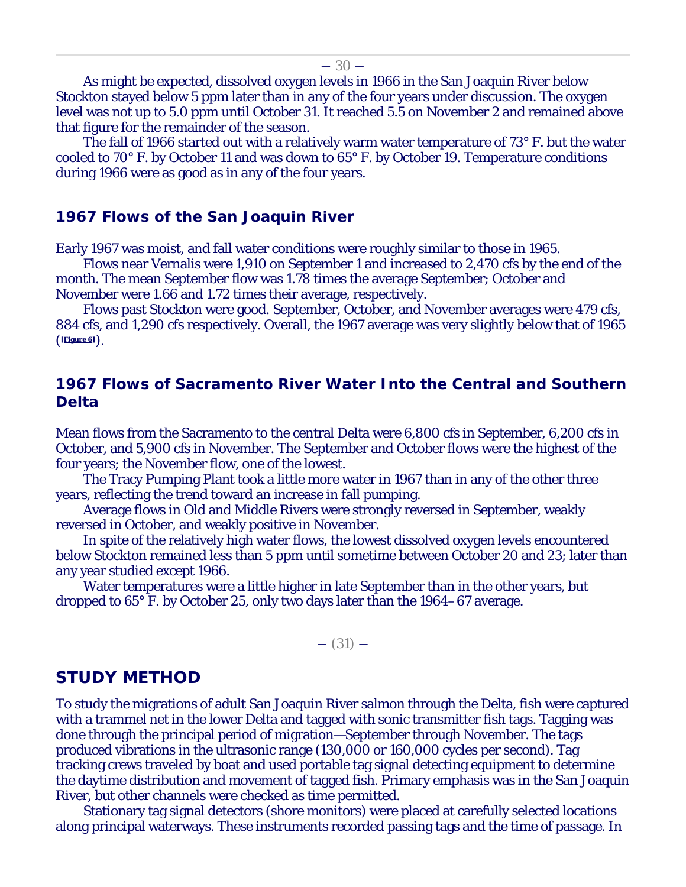As might be expected, dissolved oxygen levels in 1966 in the San Joaquin River below

Stockton stayed below 5 ppm later than in any of the four years under discussion. The oxygen level was not up to 5.0 ppm until October 31. It reached 5.5 on November 2 and remained above that figure for the remainder of the season.

The fall of 1966 started out with a relatively warm water temperature of 73° F. but the water cooled to 70° F. by October 11 and was down to 65° F. by October 19. Temperature conditions during 1966 were as good as in any of the four years.

#### **1967 Flows of the San Joaquin River**

Early 1967 was moist, and fall water conditions were roughly similar to those in 1965.

Flows near Vernalis were 1,910 on September 1 and increased to 2,470 cfs by the end of the month. The mean September flow was 1.78 times the average September; October and November were 1.66 and 1.72 times their average, respectively.

Flows past Stockton were good. September, October, and November averages were 479 cfs, 884 cfs, and 1,290 cfs respectively. Overall, the 1967 average was very slightly below that of 1965 (**[Figure 6]**).

# **1967 Flows of Sacramento River Water Into the Central and Southern Delta**

Mean flows from the Sacramento to the central Delta were 6,800 cfs in September, 6,200 cfs in October, and 5,900 cfs in November. The September and October flows were the highest of the four years; the November flow, one of the lowest.

The Tracy Pumping Plant took a little more water in 1967 than in any of the other three years, reflecting the trend toward an increase in fall pumping.

Average flows in Old and Middle Rivers were strongly reversed in September, weakly reversed in October, and weakly positive in November.

In spite of the relatively high water flows, the lowest dissolved oxygen levels encountered below Stockton remained less than 5 ppm until sometime between October 20 and 23; later than any year studied except 1966.

Water temperatures were a little higher in late September than in the other years, but dropped to 65° F. by October 25, only two days later than the 1964–67 average.

 $-$  (31)  $-$ 

#### **STUDY METHOD**

To study the migrations of adult San Joaquin River salmon through the Delta, fish were captured with a trammel net in the lower Delta and tagged with sonic transmitter fish tags. Tagging was done through the principal period of migration—September through November. The tags produced vibrations in the ultrasonic range (130,000 or 160,000 cycles per second). Tag tracking crews traveled by boat and used portable tag signal detecting equipment to determine the daytime distribution and movement of tagged fish. Primary emphasis was in the San Joaquin River, but other channels were checked as time permitted.

Stationary tag signal detectors (shore monitors) were placed at carefully selected locations along principal waterways. These instruments recorded passing tags and the time of passage. In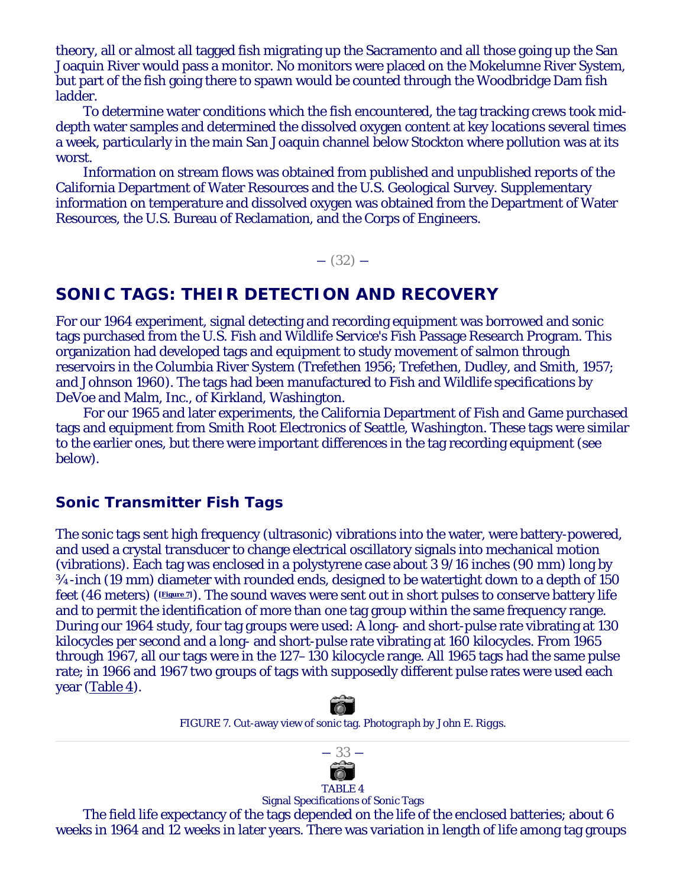theory, all or almost all tagged fish migrating up the Sacramento and all those going up the San Joaquin River would pass a monitor. No monitors were placed on the Mokelumne River System, but part of the fish going there to spawn would be counted through the Woodbridge Dam fish ladder.

To determine water conditions which the fish encountered, the tag tracking crews took middepth water samples and determined the dissolved oxygen content at key locations several times a week, particularly in the main San Joaquin channel below Stockton where pollution was at its worst.

Information on stream flows was obtained from published and unpublished reports of the California Department of Water Resources and the U.S. Geological Survey. Supplementary information on temperature and dissolved oxygen was obtained from the Department of Water Resources, the U.S. Bureau of Reclamation, and the Corps of Engineers.

 $-$  (32)  $-$ 

# **SONIC TAGS: THEIR DETECTION AND RECOVERY**

For our 1964 experiment, signal detecting and recording equipment was borrowed and sonic tags purchased from the U.S. Fish and Wildlife Service's Fish Passage Research Program. This organization had developed tags and equipment to study movement of salmon through reservoirs in the Columbia River System (Trefethen 1956; Trefethen, Dudley, and Smith, 1957; and Johnson 1960). The tags had been manufactured to Fish and Wildlife specifications by DeVoe and Malm, Inc., of Kirkland, Washington.

For our 1965 and later experiments, the California Department of Fish and Game purchased tags and equipment from Smith Root Electronics of Seattle, Washington. These tags were similar to the earlier ones, but there were important differences in the tag recording equipment (see below).

#### **Sonic Transmitter Fish Tags**

The sonic tags sent high frequency (ultrasonic) vibrations into the water, were battery-powered, and used a crystal transducer to change electrical oscillatory signals into mechanical motion (vibrations). Each tag was enclosed in a polystyrene case about 3 9/16 inches (90 mm) long by ¾-inch (19 mm) diameter with rounded ends, designed to be watertight down to a depth of 150 feet (46 meters) (**[Figure 7]**). The sound waves were sent out in short pulses to conserve battery life and to permit the identification of more than one tag group within the same frequency range. During our 1964 study, four tag groups were used: A long- and short-pulse rate vibrating at 130 kilocycles per second and a long- and short-pulse rate vibrating at 160 kilocycles. From 1965 through 1967, all our tags were in the 127–130 kilocycle range. All 1965 tags had the same pulse rate; in 1966 and 1967 two groups of tags with supposedly different pulse rates were used each year (Table 4).



FIGURE 7. Cut-away view of sonic tag. *Photograph by John E. Riggs.*



Signal Specifications of Sonic Tags The field life expectancy of the tags depended on the life of the enclosed batteries; about 6 weeks in 1964 and 12 weeks in later years. There was variation in length of life among tag groups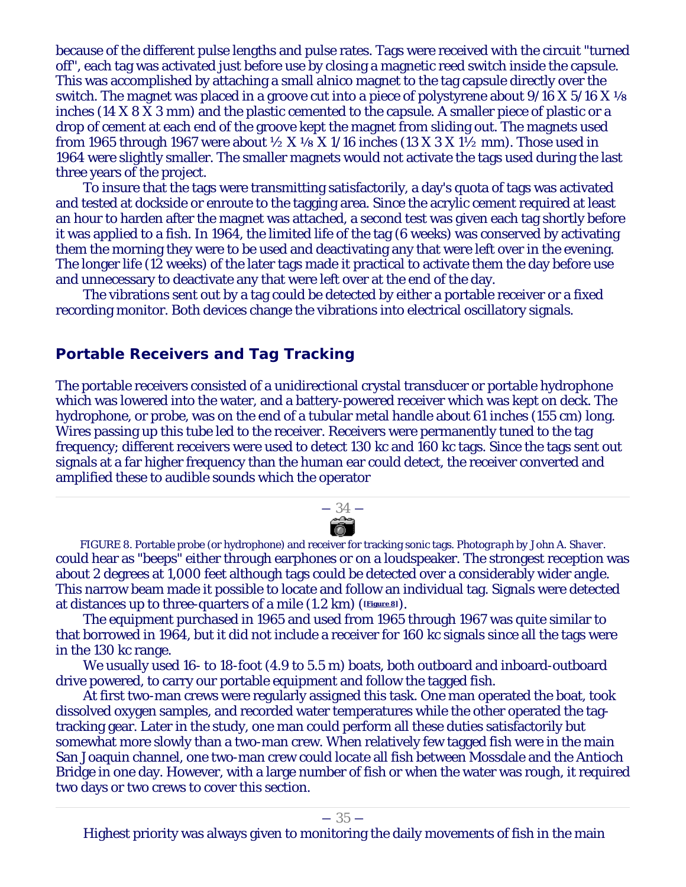because of the different pulse lengths and pulse rates. Tags were received with the circuit "turned off", each tag was activated just before use by closing a magnetic reed switch inside the capsule. This was accomplished by attaching a small alnico magnet to the tag capsule directly over the switch. The magnet was placed in a groove cut into a piece of polystyrene about  $9/16$  X  $5/16$  X  $\frac{1}{8}$ inches (14 X 8 X 3 mm) and the plastic cemented to the capsule. A smaller piece of plastic or a drop of cement at each end of the groove kept the magnet from sliding out. The magnets used from 1965 through 1967 were about  $\frac{1}{2}$  X  $\frac{1}{8}$  X 1/16 inches (13 X 3 X 1 $\frac{1}{2}$  mm). Those used in 1964 were slightly smaller. The smaller magnets would not activate the tags used during the last three years of the project.

To insure that the tags were transmitting satisfactorily, a day's quota of tags was activated and tested at dockside or enroute to the tagging area. Since the acrylic cement required at least an hour to harden after the magnet was attached, a second test was given each tag shortly before it was applied to a fish. In 1964, the limited life of the tag (6 weeks) was conserved by activating them the morning they were to be used and deactivating any that were left over in the evening. The longer life (12 weeks) of the later tags made it practical to activate them the day before use and unnecessary to deactivate any that were left over at the end of the day.

The vibrations sent out by a tag could be detected by either a portable receiver or a fixed recording monitor. Both devices change the vibrations into electrical oscillatory signals.

#### **Portable Receivers and Tag Tracking**

The portable receivers consisted of a unidirectional crystal transducer or portable hydrophone which was lowered into the water, and a battery-powered receiver which was kept on deck. The hydrophone, or probe, was on the end of a tubular metal handle about 61 inches (155 cm) long. Wires passing up this tube led to the receiver. Receivers were permanently tuned to the tag frequency; different receivers were used to detect 130 kc and 160 kc tags. Since the tags sent out signals at a far higher frequency than the human ear could detect, the receiver converted and amplified these to audible sounds which the operator

FIGURE 8. Portable probe (or hydrophone) and receiver for tracking sonic tags. *Photograph by John A. Shaver.* could hear as "beeps" either through earphones or on a loudspeaker. The strongest reception was about 2 degrees at 1,000 feet although tags could be detected over a considerably wider angle. This narrow beam made it possible to locate and follow an individual tag. Signals were detected at distances up to three-quarters of a mile (1.2 km) (**[Figure 8]**).

― 34 ―

The equipment purchased in 1965 and used from 1965 through 1967 was quite similar to that borrowed in 1964, but it did not include a receiver for 160 kc signals since all the tags were in the 130 kc range.

We usually used 16- to 18-foot (4.9 to 5.5 m) boats, both outboard and inboard-outboard drive powered, to carry our portable equipment and follow the tagged fish.

At first two-man crews were regularly assigned this task. One man operated the boat, took dissolved oxygen samples, and recorded water temperatures while the other operated the tagtracking gear. Later in the study, one man could perform all these duties satisfactorily but somewhat more slowly than a two-man crew. When relatively few tagged fish were in the main San Joaquin channel, one two-man crew could locate all fish between Mossdale and the Antioch Bridge in one day. However, with a large number of fish or when the water was rough, it required two days or two crews to cover this section.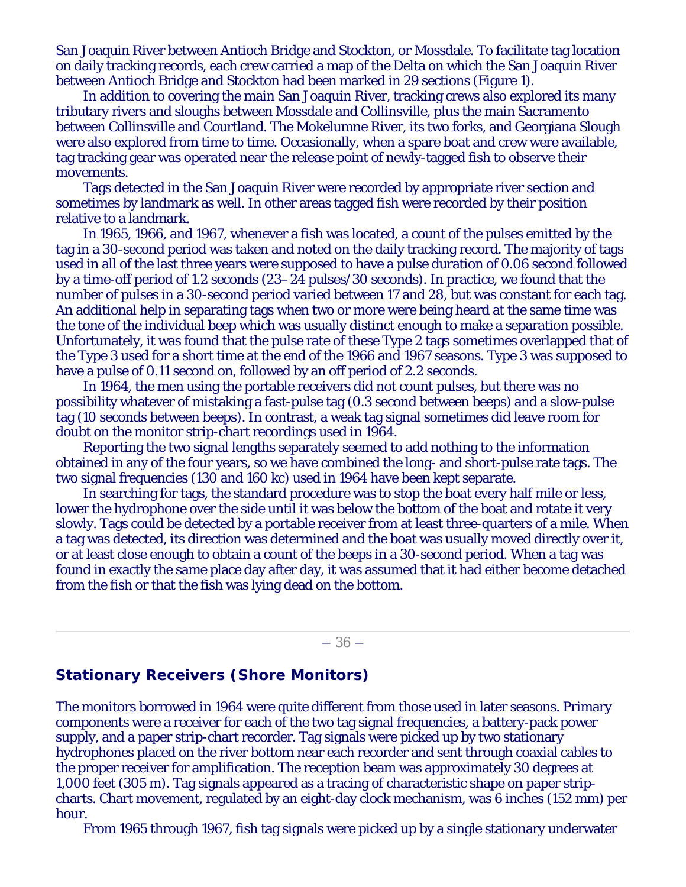San Joaquin River between Antioch Bridge and Stockton, or Mossdale. To facilitate tag location on daily tracking records, each crew carried a map of the Delta on which the San Joaquin River between Antioch Bridge and Stockton had been marked in 29 sections (Figure 1).

In addition to covering the main San Joaquin River, tracking crews also explored its many tributary rivers and sloughs between Mossdale and Collinsville, plus the main Sacramento between Collinsville and Courtland. The Mokelumne River, its two forks, and Georgiana Slough were also explored from time to time. Occasionally, when a spare boat and crew were available, tag tracking gear was operated near the release point of newly-tagged fish to observe their movements.

Tags detected in the San Joaquin River were recorded by appropriate river section and sometimes by landmark as well. In other areas tagged fish were recorded by their position relative to a landmark.

In 1965, 1966, and 1967, whenever a fish was located, a count of the pulses emitted by the tag in a 30-second period was taken and noted on the daily tracking record. The majority of tags used in all of the last three years were supposed to have a pulse duration of 0.06 second followed by a time-off period of 1.2 seconds (23–24 pulses/30 seconds). In practice, we found that the number of pulses in a 30-second period varied between 17 and 28, but was constant for each tag. An additional help in separating tags when two or more were being heard at the same time was the tone of the individual beep which was usually distinct enough to make a separation possible. Unfortunately, it was found that the pulse rate of these Type 2 tags sometimes overlapped that of the Type 3 used for a short time at the end of the 1966 and 1967 seasons. Type 3 was supposed to have a pulse of 0.11 second on, followed by an off period of 2.2 seconds.

In 1964, the men using the portable receivers did not count pulses, but there was no possibility whatever of mistaking a fast-pulse tag (0.3 second between beeps) and a slow-pulse tag (10 seconds between beeps). In contrast, a weak tag signal sometimes did leave room for doubt on the monitor strip-chart recordings used in 1964.

Reporting the two signal lengths separately seemed to add nothing to the information obtained in any of the four years, so we have combined the long- and short-pulse rate tags. The two signal frequencies (130 and 160 kc) used in 1964 have been kept separate.

In searching for tags, the standard procedure was to stop the boat every half mile or less, lower the hydrophone over the side until it was below the bottom of the boat and rotate it very slowly. Tags could be detected by a portable receiver from at least three-quarters of a mile. When a tag was detected, its direction was determined and the boat was usually moved directly over it, or at least close enough to obtain a count of the beeps in a 30-second period. When a tag was found in exactly the same place day after day, it was assumed that it had either become detached from the fish or that the fish was lying dead on the bottom.

#### $-36-$

#### **Stationary Receivers (Shore Monitors)**

The monitors borrowed in 1964 were quite different from those used in later seasons. Primary components were a receiver for each of the two tag signal frequencies, a battery-pack power supply, and a paper strip-chart recorder. Tag signals were picked up by two stationary hydrophones placed on the river bottom near each recorder and sent through coaxial cables to the proper receiver for amplification. The reception beam was approximately 30 degrees at 1,000 feet (305 m). Tag signals appeared as a tracing of characteristic shape on paper stripcharts. Chart movement, regulated by an eight-day clock mechanism, was 6 inches (152 mm) per hour.

From 1965 through 1967, fish tag signals were picked up by a single stationary underwater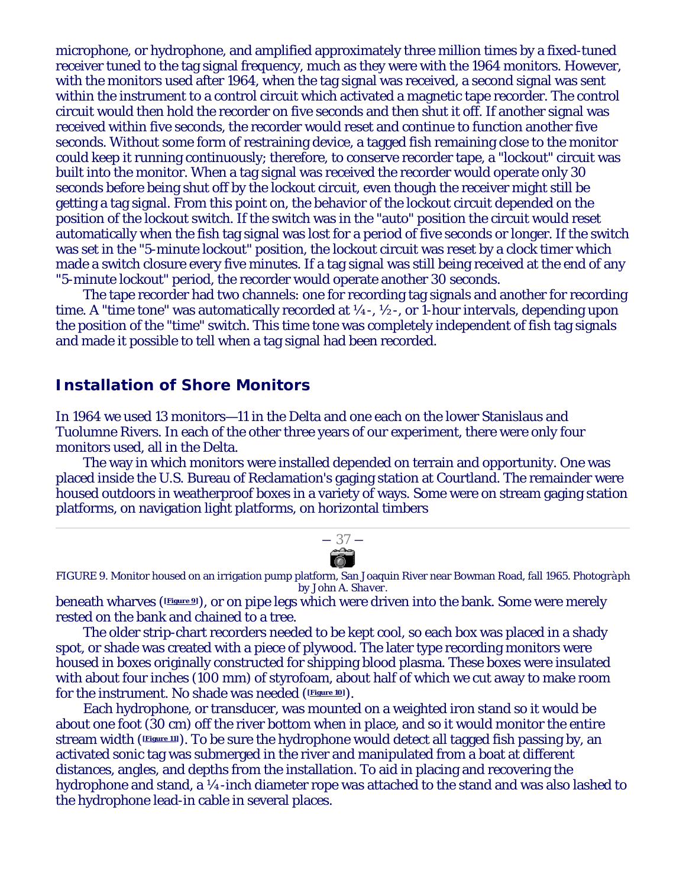microphone, or hydrophone, and amplified approximately three million times by a fixed-tuned receiver tuned to the tag signal frequency, much as they were with the 1964 monitors. However, with the monitors used after 1964, when the tag signal was received, a second signal was sent within the instrument to a control circuit which activated a magnetic tape recorder. The control circuit would then hold the recorder on five seconds and then shut it off. If another signal was received within five seconds, the recorder would reset and continue to function another five seconds. Without some form of restraining device, a tagged fish remaining close to the monitor could keep it running continuously; therefore, to conserve recorder tape, a "lockout" circuit was built into the monitor. When a tag signal was received the recorder would operate only 30 seconds before being shut off by the lockout circuit, even though the receiver might still be getting a tag signal. From this point on, the behavior of the lockout circuit depended on the position of the lockout switch. If the switch was in the "auto" position the circuit would reset automatically when the fish tag signal was lost for a period of five seconds or longer. If the switch was set in the "5-minute lockout" position, the lockout circuit was reset by a clock timer which made a switch closure every five minutes. If a tag signal was still being received at the end of any "5-minute lockout" period, the recorder would operate another 30 seconds.

The tape recorder had two channels: one for recording tag signals and another for recording time. A "time tone" was automatically recorded at  $\frac{1}{4}$ -,  $\frac{1}{2}$ -, or 1-hour intervals, depending upon the position of the "time" switch. This time tone was completely independent of fish tag signals and made it possible to tell when a tag signal had been recorded.

## **Installation of Shore Monitors**

In 1964 we used 13 monitors—11 in the Delta and one each on the lower Stanislaus and Tuolumne Rivers. In each of the other three years of our experiment, there were only four monitors used, all in the Delta.

The way in which monitors were installed depended on terrain and opportunity. One was placed inside the U.S. Bureau of Reclamation's gaging station at Courtland. The remainder were housed outdoors in weatherproof boxes in a variety of ways. Some were on stream gaging station platforms, on navigation light platforms, on horizontal timbers

$$
\overrightarrow{a}
$$

FIGURE 9. Monitor housed on an irrigation pump platform, San Joaquin River near Bowman Road, fall 1965. *Photogràph by John A. Shaver.*

beneath wharves (**[Figure 9]**), or on pipe legs which were driven into the bank. Some were merely rested on the bank and chained to a tree.

The older strip-chart recorders needed to be kept cool, so each box was placed in a shady spot, or shade was created with a piece of plywood. The later type recording monitors were housed in boxes originally constructed for shipping blood plasma. These boxes were insulated with about four inches (100 mm) of styrofoam, about half of which we cut away to make room for the instrument. No shade was needed (**[Figure 10]**).

Each hydrophone, or transducer, was mounted on a weighted iron stand so it would be about one foot (30 cm) off the river bottom when in place, and so it would monitor the entire stream width (**[Figure 11]**). To be sure the hydrophone would detect all tagged fish passing by, an activated sonic tag was submerged in the river and manipulated from a boat at different distances, angles, and depths from the installation. To aid in placing and recovering the hydrophone and stand, a ¼-inch diameter rope was attached to the stand and was also lashed to the hydrophone lead-in cable in several places.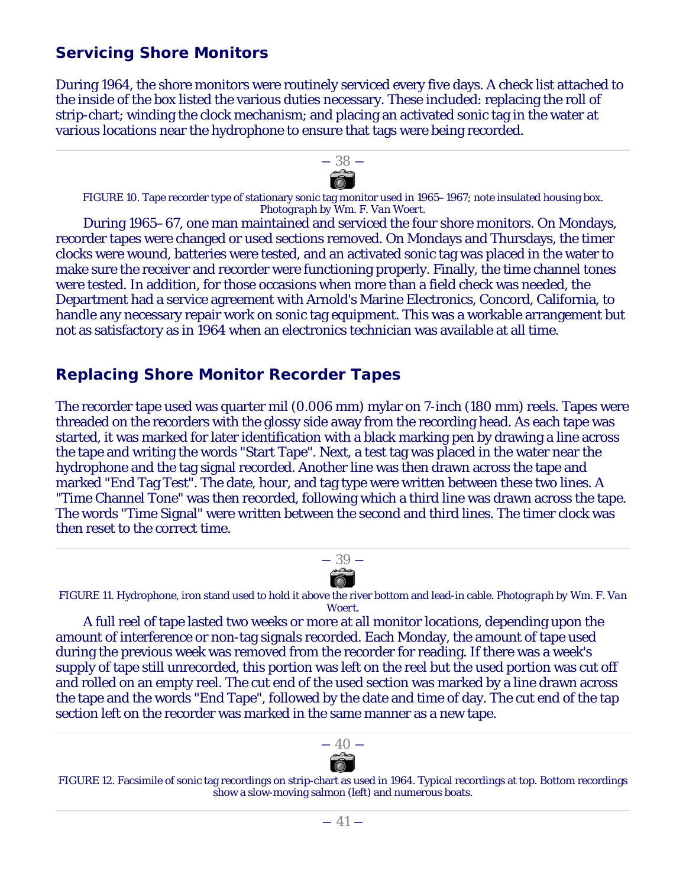# *Servicing Shore Monitors*

During 1964, the shore monitors were routinely serviced every five days. A check list attached to the inside of the box listed the various duties necessary. These included: replacing the roll of strip-chart; winding the clock mechanism; and placing an activated sonic tag in the water at various locations near the hydrophone to ensure that tags were being recorded.



FIGURE 10. Tape recorder type of stationary sonic tag monitor used in 1965–1967; note insulated housing box. *Photograph by Wm. F. Van Woert.*

During 1965–67, one man maintained and serviced the four shore monitors. On Mondays, recorder tapes were changed or used sections removed. On Mondays and Thursdays, the timer clocks were wound, batteries were tested, and an activated sonic tag was placed in the water to make sure the receiver and recorder were functioning properly. Finally, the time channel tones were tested. In addition, for those occasions when more than a field check was needed, the Department had a service agreement with Arnold's Marine Electronics, Concord, California, to handle any necessary repair work on sonic tag equipment. This was a workable arrangement but not as satisfactory as in 1964 when an electronics technician was available at all time.

# *Replacing Shore Monitor Recorder Tapes*

The recorder tape used was quarter mil (0.006 mm) mylar on 7-inch (180 mm) reels. Tapes were threaded on the recorders with the glossy side away from the recording head. As each tape was started, it was marked for later identification with a black marking pen by drawing a line across the tape and writing the words "Start Tape". Next, a test tag was placed in the water near the hydrophone and the tag signal recorded. Another line was then drawn across the tape and marked "End Tag Test". The date, hour, and tag type were written between these two lines. A "Time Channel Tone" was then recorded, following which a third line was drawn across the tape. The words "Time Signal" were written between the second and third lines. The timer clock was then reset to the correct time.



FIGURE 11. Hydrophone, iron stand used to hold it above the river bottom and lead-in cable. *Photograph by Wm. F. Van Woert.*

A full reel of tape lasted two weeks or more at all monitor locations, depending upon the amount of interference or non-tag signals recorded. Each Monday, the amount of tape used during the previous week was removed from the recorder for reading. If there was a week's supply of tape still unrecorded, this portion was left on the reel but the used portion was cut off and rolled on an empty reel. The cut end of the used section was marked by a line drawn across the tape and the words "End Tape", followed by the date and time of day. The cut end of the tap section left on the recorder was marked in the same manner as a new tape.



FIGURE 12. Facsimile of sonic tag recordings on strip-chart as used in 1964. Typical recordings at top. Bottom recordings show a slow-moving salmon (left) and numerous boats.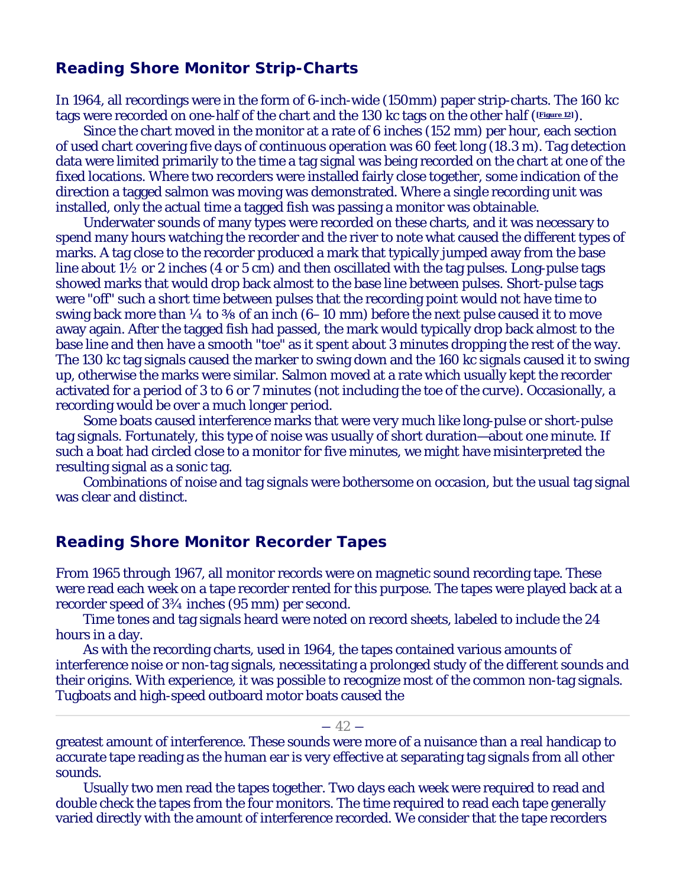# *Reading Shore Monitor Strip-Charts*

In 1964, all recordings were in the form of 6-inch-wide (150mm) paper strip-charts. The 160 kc tags were recorded on one-half of the chart and the 130 kc tags on the other half (**Figure 12**).

Since the chart moved in the monitor at a rate of 6 inches (152 mm) per hour, each section of used chart covering five days of continuous operation was 60 feet long (18.3 m). Tag detection data were limited primarily to the time a tag signal was being recorded on the chart at one of the fixed locations. Where two recorders were installed fairly close together, some indication of the direction a tagged salmon was moving was demonstrated. Where a single recording unit was installed, only the actual time a tagged fish was passing a monitor was obtainable.

Underwater sounds of many types were recorded on these charts, and it was necessary to spend many hours watching the recorder and the river to note what caused the different types of marks. A tag close to the recorder produced a mark that typically jumped away from the base line about  $1\frac{1}{2}$  or 2 inches (4 or 5 cm) and then oscillated with the tag pulses. Long-pulse tags showed marks that would drop back almost to the base line between pulses. Short-pulse tags were "off" such a short time between pulses that the recording point would not have time to swing back more than  $\frac{1}{4}$  to  $\frac{3}{8}$  of an inch (6–10 mm) before the next pulse caused it to move away again. After the tagged fish had passed, the mark would typically drop back almost to the base line and then have a smooth "toe" as it spent about 3 minutes dropping the rest of the way. The 130 kc tag signals caused the marker to swing down and the 160 kc signals caused it to swing up, otherwise the marks were similar. Salmon moved at a rate which usually kept the recorder activated for a period of 3 to 6 or 7 minutes (not including the toe of the curve). Occasionally, a recording would be over a much longer period.

Some boats caused interference marks that were very much like long-pulse or short-pulse tag signals. Fortunately, this type of noise was usually of short duration—about one minute. If such a boat had circled close to a monitor for five minutes, we might have misinterpreted the resulting signal as a sonic tag.

Combinations of noise and tag signals were bothersome on occasion, but the usual tag signal was clear and distinct.

#### *Reading Shore Monitor Recorder Tapes*

From 1965 through 1967, all monitor records were on magnetic sound recording tape. These were read each week on a tape recorder rented for this purpose. The tapes were played back at a recorder speed of 3¾ inches (95 mm) per second.

Time tones and tag signals heard were noted on record sheets, labeled to include the 24 hours in a day.

As with the recording charts, used in 1964, the tapes contained various amounts of interference noise or non-tag signals, necessitating a prolonged study of the different sounds and their origins. With experience, it was possible to recognize most of the common non-tag signals. Tugboats and high-speed outboard motor boats caused the

#### $-42-$

greatest amount of interference. These sounds were more of a nuisance than a real handicap to accurate tape reading as the human ear is very effective at separating tag signals from all other sounds.

Usually two men read the tapes together. Two days each week were required to read and double check the tapes from the four monitors. The time required to read each tape generally varied directly with the amount of interference recorded. We consider that the tape recorders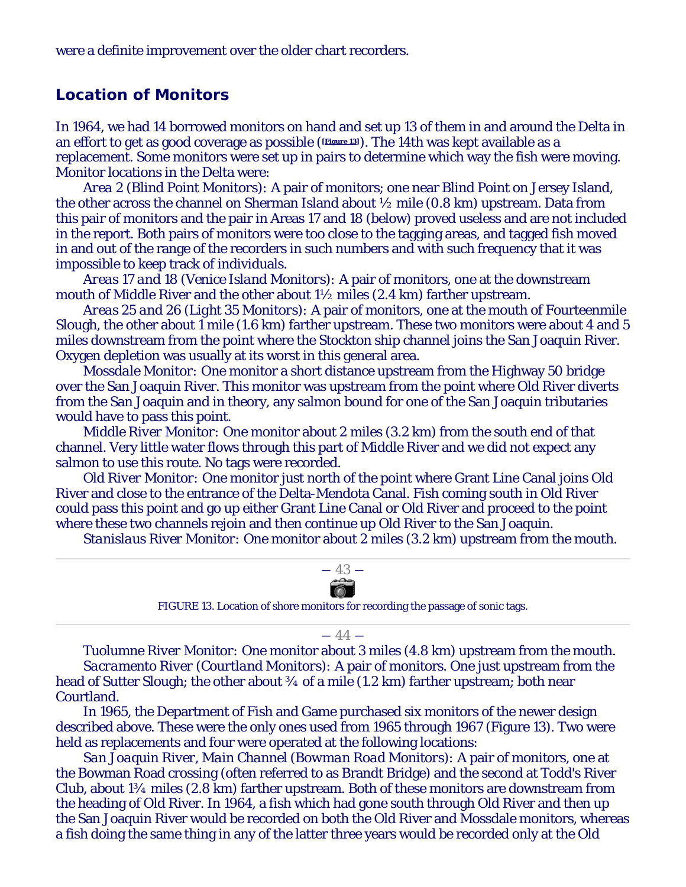were a definite improvement over the older chart recorders.

#### *Location of Monitors*

In 1964, we had 14 borrowed monitors on hand and set up 13 of them in and around the Delta in an effort to get as good coverage as possible (**[Figure 13]**). The 14th was kept available as a replacement. Some monitors were set up in pairs to determine which way the fish were moving. Monitor locations in the Delta were:

*Area 2 (Blind Point Monitors):* A pair of monitors; one near Blind Point on Jersey Island, the other across the channel on Sherman Island about ½ mile (0.8 km) upstream. Data from this pair of monitors and the pair in Areas 17 and 18 (below) proved useless and are not included in the report. Both pairs of monitors were too close to the tagging areas, and tagged fish moved in and out of the range of the recorders in such numbers and with such frequency that it was impossible to keep track of individuals.

*Areas 17 and 18 (Venice Island Monitors):* A pair of monitors, one at the downstream mouth of Middle River and the other about 1½ miles (2.4 km) farther upstream.

*Areas 25 and 26 (Light 35 Monitors):* A pair of monitors, one at the mouth of Fourteenmile Slough, the other about 1 mile (1.6 km) farther upstream. These two monitors were about 4 and 5 miles downstream from the point where the Stockton ship channel joins the San Joaquin River. Oxygen depletion was usually at its worst in this general area.

*Mossdale Monitor:* One monitor a short distance upstream from the Highway 50 bridge over the San Joaquin River. This monitor was upstream from the point where Old River diverts from the San Joaquin and in theory, any salmon bound for one of the San Joaquin tributaries would have to pass this point.

*Middle River Monitor:* One monitor about 2 miles (3.2 km) from the south end of that channel. Very little water flows through this part of Middle River and we did not expect any salmon to use this route. No tags were recorded.

*Old River Monitor:* One monitor just north of the point where Grant Line Canal joins Old River and close to the entrance of the Delta-Mendota Canal. Fish coming south in Old River could pass this point and go up either Grant Line Canal or Old River and proceed to the point where these two channels rejoin and then continue up Old River to the San Joaquin.

*Stanislaus River Monitor:* One monitor about 2 miles (3.2 km) upstream from the mouth.



FIGURE 13. Location of shore monitors for recording the passage of sonic tags.

#### $-44-$

*Tuolumne River Monitor:* One monitor about 3 miles (4.8 km) upstream from the mouth. *Sacramento River (Courtland Monitors):* A pair of monitors. One just upstream from the head of Sutter Slough; the other about  $\frac{3}{4}$  of a mile (1.2 km) farther upstream; both near Courtland.

In 1965, the Department of Fish and Game purchased six monitors of the newer design described above. These were the only ones used from 1965 through 1967 (Figure 13). Two were held as replacements and four were operated at the following locations:

*San Joaquin River, Main Channel (Bowman Road Monitors):* A pair of monitors, one at the Bowman Road crossing (often referred to as Brandt Bridge) and the second at Todd's River Club, about 1¾ miles (2.8 km) farther upstream. Both of these monitors are downstream from the heading of Old River. In 1964, a fish which had gone south through Old River and then up the San Joaquin River would be recorded on both the Old River and Mossdale monitors, whereas a fish doing the same thing in any of the latter three years would be recorded only at the Old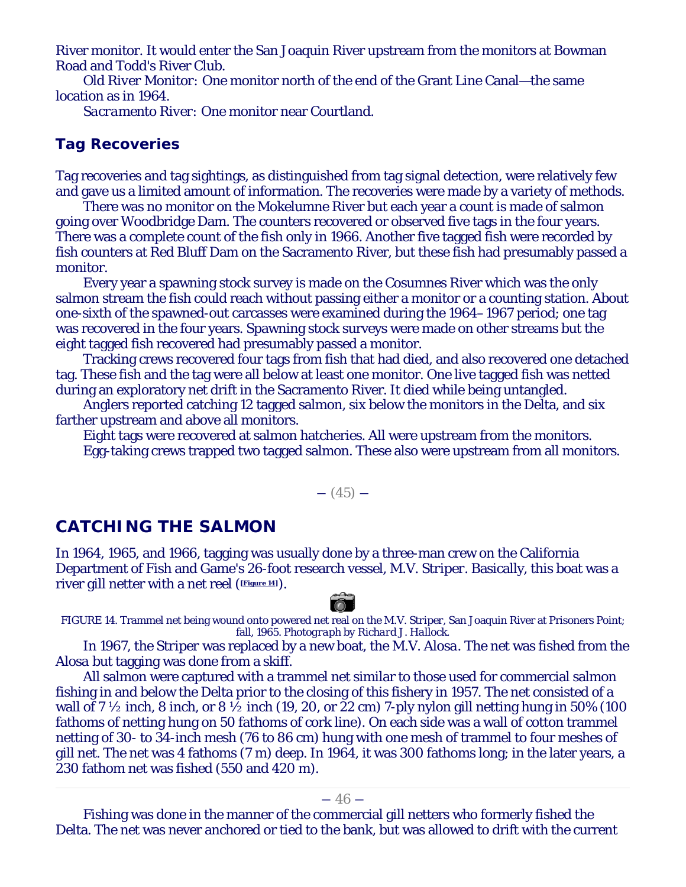River monitor. It would enter the San Joaquin River upstream from the monitors at Bowman Road and Todd's River Club.

*Old River Monitor:* One monitor north of the end of the Grant Line Canal—the same location as in 1964.

*Sacramento River:* One monitor near Courtland.

# **Tag Recoveries**

Tag recoveries and tag sightings, as distinguished from tag signal detection, were relatively few and gave us a limited amount of information. The recoveries were made by a variety of methods.

There was no monitor on the Mokelumne River but each year a count is made of salmon going over Woodbridge Dam. The counters recovered or observed five tags in the four years. There was a complete count of the fish only in 1966. Another five tagged fish were recorded by fish counters at Red Bluff Dam on the Sacramento River, but these fish had presumably passed a monitor.

Every year a spawning stock survey is made on the Cosumnes River which was the only salmon stream the fish could reach without passing either a monitor or a counting station. About one-sixth of the spawned-out carcasses were examined during the 1964–1967 period; one tag was recovered in the four years. Spawning stock surveys were made on other streams but the eight tagged fish recovered had presumably passed a monitor.

Tracking crews recovered four tags from fish that had died, and also recovered one detached tag. These fish and the tag were all below at least one monitor. One live tagged fish was netted during an exploratory net drift in the Sacramento River. It died while being untangled.

Anglers reported catching 12 tagged salmon, six below the monitors in the Delta, and six farther upstream and above all monitors.

Eight tags were recovered at salmon hatcheries. All were upstream from the monitors. Egg-taking crews trapped two tagged salmon. These also were upstream from all monitors.

 $- (45) -$ 

# **CATCHING THE SALMON**

In 1964, 1965, and 1966, tagging was usually done by a three-man crew on the California Department of Fish and Game's 26-foot research vessel, *M.V. Striper*. Basically, this boat was a river gill netter with a net reel (**[Figure 14]**).



FIGURE 14. Trammel net being wound onto powered net real on the *M.V. Striper*, San Joaquin River at Prisoners Point; fall, 1965. *Photograph by Richard J. Hallock*.

In 1967, the *Striper* was replaced by a new boat, the *M.V. Alosa*. The net was fished from the *Alosa* but tagging was done from a skiff.

All salmon were captured with a trammel net similar to those used for commercial salmon fishing in and below the Delta prior to the closing of this fishery in 1957. The net consisted of a wall of 7  $\frac{1}{2}$  inch, 8 inch, or 8  $\frac{1}{2}$  inch (19, 20, or 22 cm) 7-ply nylon gill netting hung in 50% (100 fathoms of netting hung on 50 fathoms of cork line). On each side was a wall of cotton trammel netting of 30- to 34-inch mesh (76 to 86 cm) hung with one mesh of trammel to four meshes of gill net. The net was 4 fathoms (7 m) deep. In 1964, it was 300 fathoms long; in the later years, a 230 fathom net was fished (550 and 420 m).

Fishing was done in the manner of the commercial gill netters who formerly fished the Delta. The net was never anchored or tied to the bank, but was allowed to drift with the current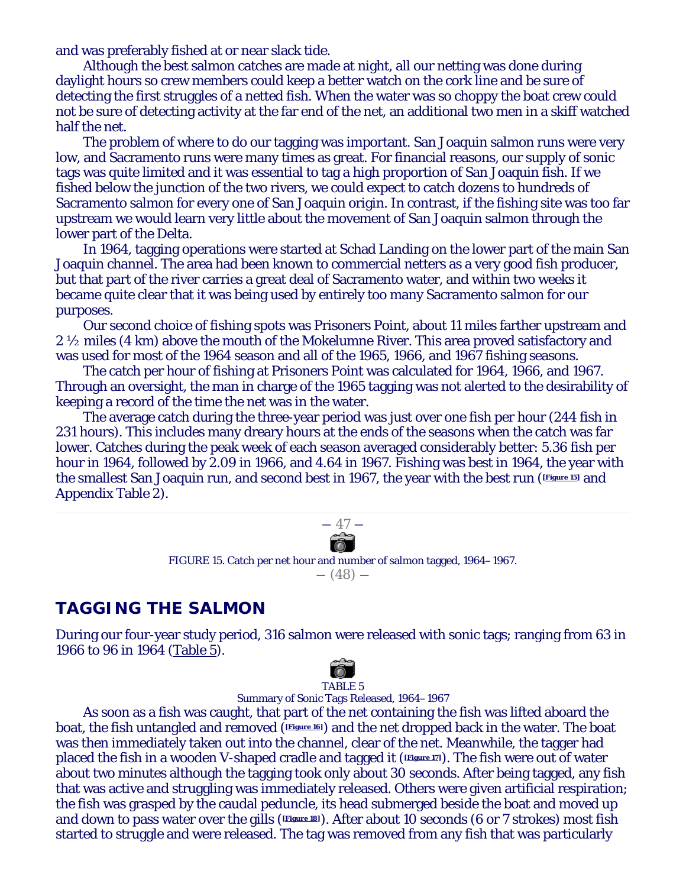and was preferably fished at or near slack tide.

Although the best salmon catches are made at night, all our netting was done during daylight hours so crew members could keep a better watch on the cork line and be sure of detecting the first struggles of a netted fish. When the water was so choppy the boat crew could not be sure of detecting activity at the far end of the net, an additional two men in a skiff watched half the net.

The problem of where to do our tagging was important. San Joaquin salmon runs were very low, and Sacramento runs were many times as great. For financial reasons, our supply of sonic tags was quite limited and it was essential to tag a high proportion of San Joaquin fish. If we fished below the junction of the two rivers, we could expect to catch dozens to hundreds of Sacramento salmon for every one of San Joaquin origin. In contrast, if the fishing site was too far upstream we would learn very little about the movement of San Joaquin salmon through the lower part of the Delta.

In 1964, tagging operations were started at Schad Landing on the lower part of the main San Joaquin channel. The area had been known to commercial netters as a very good fish producer, but that part of the river carries a great deal of Sacramento water, and within two weeks it became quite clear that it was being used by entirely too many Sacramento salmon for our purposes.

Our second choice of fishing spots was Prisoners Point, about 11 miles farther upstream and 2 ½ miles (4 km) above the mouth of the Mokelumne River. This area proved satisfactory and was used for most of the 1964 season and all of the 1965, 1966, and 1967 fishing seasons.

The catch per hour of fishing at Prisoners Point was calculated for 1964, 1966, and 1967. Through an oversight, the man in charge of the 1965 tagging was not alerted to the desirability of keeping a record of the time the net was in the water.

The average catch during the three-year period was just over one fish per hour (244 fish in 231 hours). This includes many dreary hours at the ends of the seasons when the catch was far lower. Catches during the peak week of each season averaged considerably better: 5.36 fish per hour in 1964, followed by 2.09 in 1966, and 4.64 in 1967. Fishing was best in 1964, the year with the smallest San Joaquin run, and second best in 1967, the year with the best run (**[Figure 15]** and Appendix Table 2).



FIGURE 15. Catch per net hour and number of salmon tagged, 1964–1967.  $- (48) -$ 

# **TAGGING THE SALMON**

During our four-year study period, 316 salmon were released with sonic tags; ranging from 63 in 1966 to 96 in 1964 (Table 5).



Summary of Sonic Tags Released, 1964–1967

As soon as a fish was caught, that part of the net containing the fish was lifted aboard the boat, the fish untangled and removed (**[Figure 16]**) and the net dropped back in the water. The boat was then immediately taken out into the channel, clear of the net. Meanwhile, the tagger had placed the fish in a wooden V-shaped cradle and tagged it (**[Figure 17]**). The fish were out of water about two minutes although the tagging took only about 30 seconds. After being tagged, any fish that was active and struggling was immediately released. Others were given artificial respiration; the fish was grasped by the caudal peduncle, its head submerged beside the boat and moved up and down to pass water over the gills (**Figure 18**). After about 10 seconds (6 or 7 strokes) most fish started to struggle and were released. The tag was removed from any fish that was particularly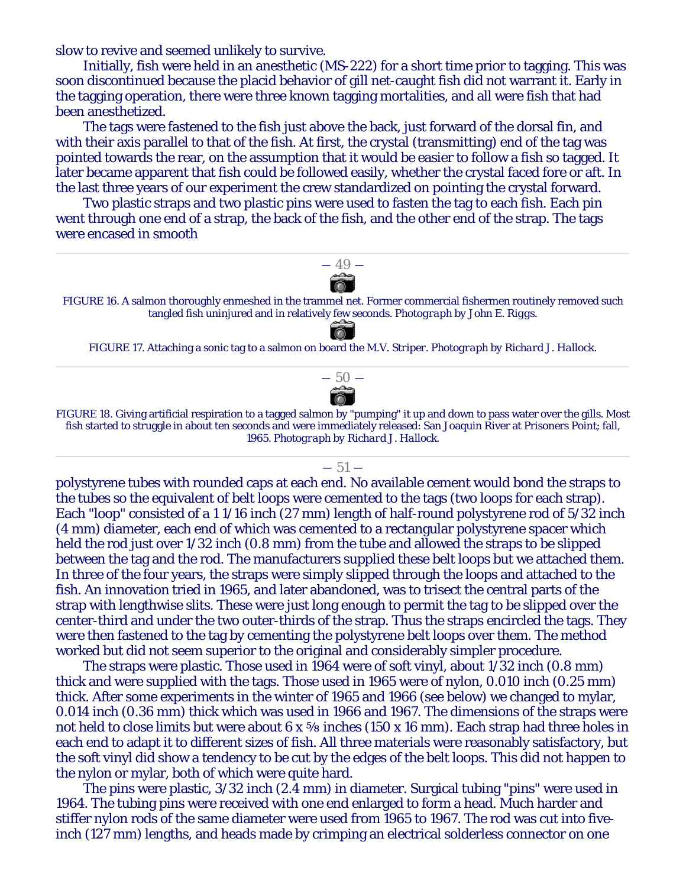slow to revive and seemed unlikely to survive.

Initially, fish were held in an anesthetic (MS-222) for a short time prior to tagging. This was soon discontinued because the placid behavior of gill net-caught fish did not warrant it. Early in the tagging operation, there were three known tagging mortalities, and all were fish that had been anesthetized.

The tags were fastened to the fish just above the back, just forward of the dorsal fin, and with their axis parallel to that of the fish. At first, the crystal (transmitting) end of the tag was pointed towards the rear, on the assumption that it would be easier to follow a fish so tagged. It later became apparent that fish could be followed easily, whether the crystal faced fore or aft. In the last three years of our experiment the crew standardized on pointing the crystal forward.

Two plastic straps and two plastic pins were used to fasten the tag to each fish. Each pin went through one end of a strap, the back of the fish, and the other end of the strap. The tags were encased in smooth



polystyrene tubes with rounded caps at each end. No available cement would bond the straps to the tubes so the equivalent of belt loops were cemented to the tags (two loops for each strap). Each "loop" consisted of a 1 1/16 inch (27 mm) length of half-round polystyrene rod of 5/32 inch (4 mm) diameter, each end of which was cemented to a rectangular polystyrene spacer which held the rod just over  $1/32$  inch (0.8 mm) from the tube and allowed the straps to be slipped between the tag and the rod. The manufacturers supplied these belt loops but we attached them. In three of the four years, the straps were simply slipped through the loops and attached to the fish. An innovation tried in 1965, and later abandoned, was to trisect the central parts of the strap with lengthwise slits. These were just long enough to permit the tag to be slipped over the center-third and under the two outer-thirds of the strap. Thus the straps encircled the tags. They were then fastened to the tag by cementing the polystyrene belt loops over them. The method worked but did not seem superior to the original and considerably simpler procedure.

The straps were plastic. Those used in 1964 were of soft vinyl, about 1/32 inch (0.8 mm) thick and were supplied with the tags. Those used in 1965 were of nylon, 0.010 inch (0.25 mm) thick. After some experiments in the winter of 1965 and 1966 (see below) we changed to mylar, 0.014 inch (0.36 mm) thick which was used in 1966 and 1967. The dimensions of the straps were not held to close limits but were about  $6 \times \frac{5}{8}$  inches (150 x 16 mm). Each strap had three holes in each end to adapt it to different sizes of fish. All three materials were reasonably satisfactory, but the soft vinyl did show a tendency to be cut by the edges of the belt loops. This did not happen to the nylon or mylar, both of which were quite hard.

The pins were plastic, 3/32 inch (2.4 mm) in diameter. Surgical tubing "pins" were used in 1964. The tubing pins were received with one end enlarged to form a head. Much harder and stiffer nylon rods of the same diameter were used from 1965 to 1967. The rod was cut into fiveinch (127 mm) lengths, and heads made by crimping an electrical solderless connector on one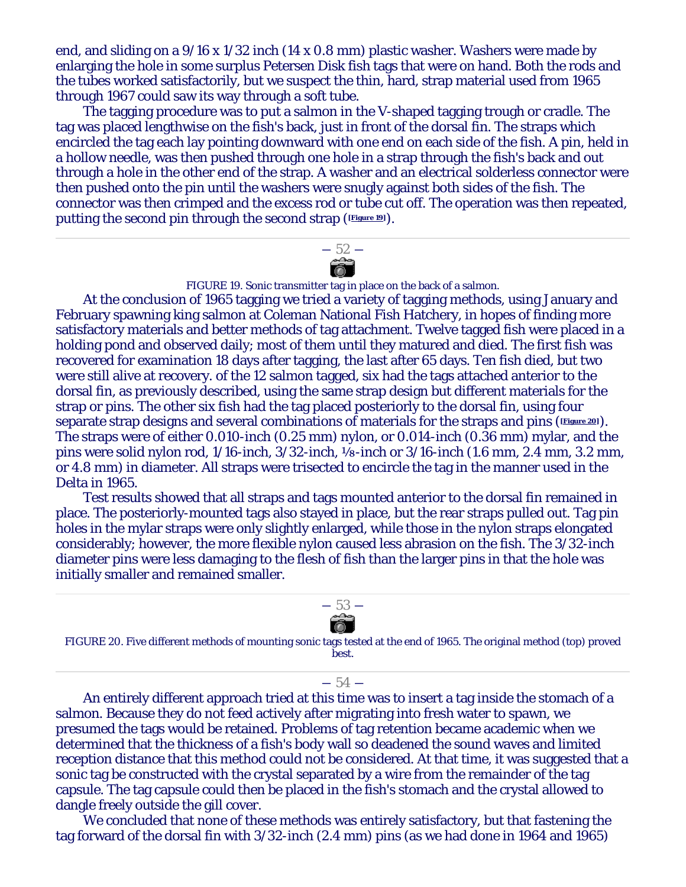end, and sliding on a 9/16 x 1/32 inch (14 x 0.8 mm) plastic washer. Washers were made by enlarging the hole in some surplus Petersen Disk fish tags that were on hand. Both the rods and the tubes worked satisfactorily, but we suspect the thin, hard, strap material used from 1965 through 1967 could saw its way through a soft tube.

The tagging procedure was to put a salmon in the V-shaped tagging trough or cradle. The tag was placed lengthwise on the fish's back, just in front of the dorsal fin. The straps which encircled the tag each lay pointing downward with one end on each side of the fish. A pin, held in a hollow needle, was then pushed through one hole in a strap through the fish's back and out through a hole in the other end of the strap. A washer and an electrical solderless connector were then pushed onto the pin until the washers were snugly against both sides of the fish. The connector was then crimped and the excess rod or tube cut off. The operation was then repeated, putting the second pin through the second strap (**Figure 19**).



FIGURE 19. Sonic transmitter tag in place on the back of a salmon.

At the conclusion of 1965 tagging we tried a variety of tagging methods, using January and February spawning king salmon at Coleman National Fish Hatchery, in hopes of finding more satisfactory materials and better methods of tag attachment. Twelve tagged fish were placed in a holding pond and observed daily; most of them until they matured and died. The first fish was recovered for examination 18 days after tagging, the last after 65 days. Ten fish died, but two were still alive at recovery. of the 12 salmon tagged, six had the tags attached anterior to the dorsal fin, as previously described, using the same strap design but different materials for the strap or pins. The other six fish had the tag placed posteriorly to the dorsal fin, using four separate strap designs and several combinations of materials for the straps and pins (**Figure 20**). The straps were of either 0.010-inch (0.25 mm) nylon, or 0.014-inch (0.36 mm) mylar, and the pins were solid nylon rod, 1/16-inch, 3/32-inch, ⅛-inch or 3/16-inch (1.6 mm, 2.4 mm, 3.2 mm, or 4.8 mm) in diameter. All straps were trisected to encircle the tag in the manner used in the Delta in 1965.

Test results showed that all straps and tags mounted anterior to the dorsal fin remained in place. The posteriorly-mounted tags also stayed in place, but the rear straps pulled out. Tag pin holes in the mylar straps were only slightly enlarged, while those in the nylon straps elongated considerably; however, the more flexible nylon caused less abrasion on the fish. The 3/32-inch diameter pins were less damaging to the flesh of fish than the larger pins in that the hole was initially smaller and remained smaller.



#### $-54-$

An entirely different approach tried at this time was to insert a tag inside the stomach of a salmon. Because they do not feed actively after migrating into fresh water to spawn, we presumed the tags would be retained. Problems of tag retention became academic when we determined that the thickness of a fish's body wall so deadened the sound waves and limited reception distance that this method could not be considered. At that time, it was suggested that a sonic tag be constructed with the crystal separated by a wire from the remainder of the tag capsule. The tag capsule could then be placed in the fish's stomach and the crystal allowed to dangle freely outside the gill cover.

We concluded that none of these methods was entirely satisfactory, but that fastening the tag forward of the dorsal fin with 3/32-inch (2.4 mm) pins (as we had done in 1964 and 1965)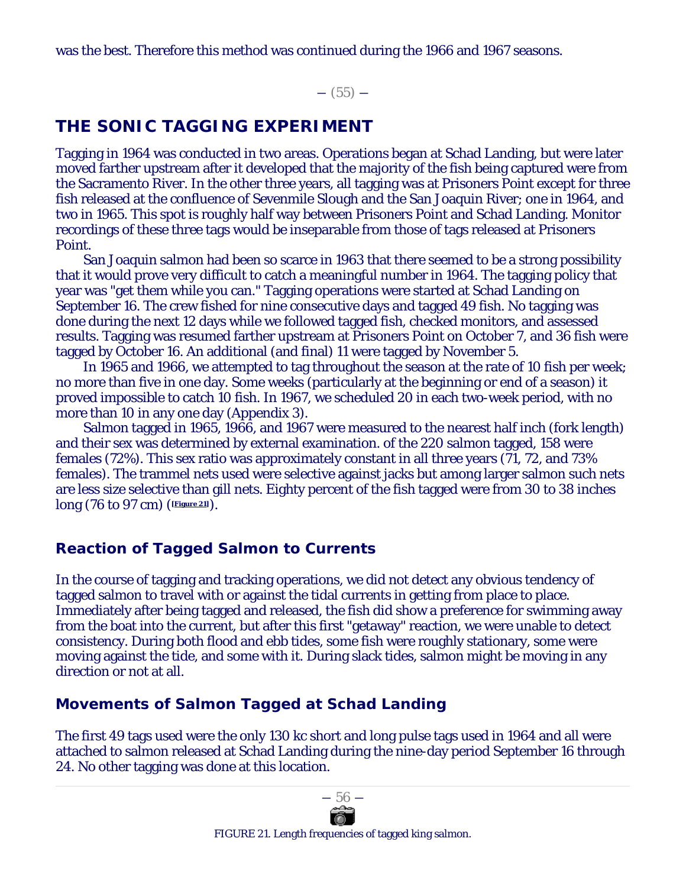was the best. Therefore this method was continued during the 1966 and 1967 seasons.

 $-$  (55)  $-$ 

# **THE SONIC TAGGING EXPERIMENT**

Tagging in 1964 was conducted in two areas. Operations began at Schad Landing, but were later moved farther upstream after it developed that the majority of the fish being captured were from the Sacramento River. In the other three years, all tagging was at Prisoners Point except for three fish released at the confluence of Sevenmile Slough and the San Joaquin River; one in 1964, and two in 1965. This spot is roughly half way between Prisoners Point and Schad Landing. Monitor recordings of these three tags would be inseparable from those of tags released at Prisoners Point.

San Joaquin salmon had been so scarce in 1963 that there seemed to be a strong possibility that it would prove very difficult to catch a meaningful number in 1964. The tagging policy that year was "get them while you can." Tagging operations were started at Schad Landing on September 16. The crew fished for nine consecutive days and tagged 49 fish. No tagging was done during the next 12 days while we followed tagged fish, checked monitors, and assessed results. Tagging was resumed farther upstream at Prisoners Point on October 7, and 36 fish were tagged by October 16. An additional (and final) 11 were tagged by November 5.

In 1965 and 1966, we attempted to tag throughout the season at the rate of 10 fish per week; no more than five in one day. Some weeks (particularly at the beginning or end of a season) it proved impossible to catch 10 fish. In 1967, we scheduled 20 in each two-week period, with no more than 10 in any one day (Appendix 3).

Salmon tagged in 1965, 1966, and 1967 were measured to the nearest half inch (fork length) and their sex was determined by external examination. of the 220 salmon tagged, 158 were females (72%). This sex ratio was approximately constant in all three years (71, 72, and 73% females). The trammel nets used were selective against jacks but among larger salmon such nets are less size selective than gill nets. Eighty percent of the fish tagged were from 30 to 38 inches long (76 to 97 cm) (**[Figure 21]**).

# **Reaction of Tagged Salmon to Currents**

In the course of tagging and tracking operations, we did not detect any obvious tendency of tagged salmon to travel with or against the tidal currents in getting from place to place. Immediately after being tagged and released, the fish did show a preference for swimming away from the boat into the current, but after this first "getaway" reaction, we were unable to detect consistency. During both flood and ebb tides, some fish were roughly stationary, some were moving against the tide, and some with it. During slack tides, salmon might be moving in any direction or not at all.

# **Movements of Salmon Tagged at Schad Landing**

The first 49 tags used were the only 130 kc short and long pulse tags used in 1964 and all were attached to salmon released at Schad Landing during the nine-day period September 16 through 24. No other tagging was done at this location.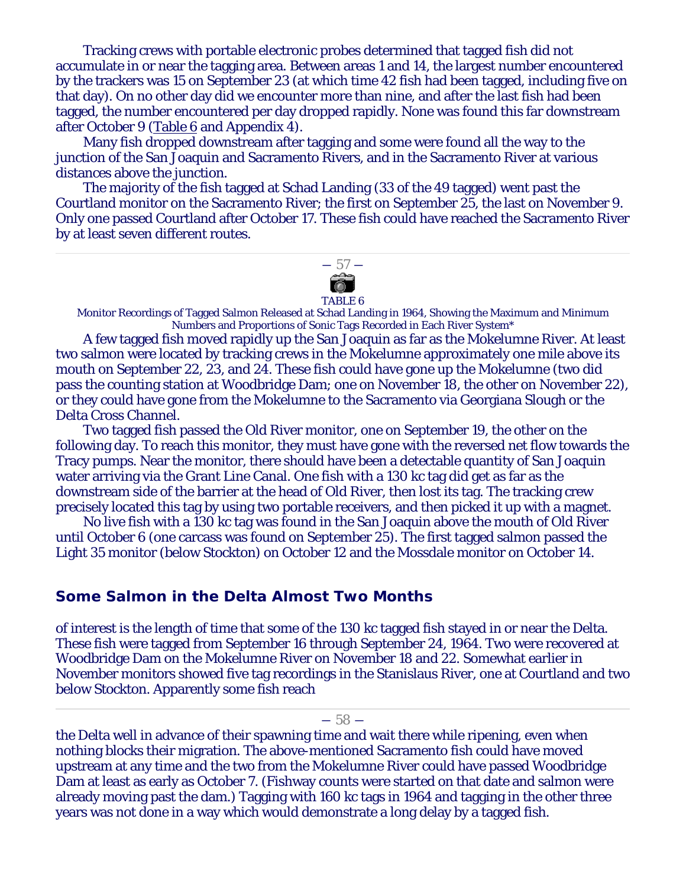Tracking crews with portable electronic probes determined that tagged fish did not accumulate in or near the tagging area. Between areas 1 and 14, the largest number encountered by the trackers was 15 on September 23 (at which time 42 fish had been tagged, including five on that day). On no other day did we encounter more than nine, and after the last fish had been tagged, the number encountered per day dropped rapidly. None was found this far downstream after October 9 (Table 6 and Appendix 4).

Many fish dropped downstream after tagging and some were found all the way to the junction of the San Joaquin and Sacramento Rivers, and in the Sacramento River at various distances above the junction.

The majority of the fish tagged at Schad Landing (33 of the 49 tagged) went past the Courtland monitor on the Sacramento River; the first on September 25, the last on November 9. Only one passed Courtland after October 17. These fish could have reached the Sacramento River by at least seven different routes.



#### TABLE 6

Monitor Recordings of Tagged Salmon Released at Schad Landing in 1964, Showing the Maximum and Minimum Numbers and Proportions of Sonic Tags Recorded in Each River System\*

A few tagged fish moved rapidly up the San Joaquin as far as the Mokelumne River. At least two salmon were located by tracking crews in the Mokelumne approximately one mile above its mouth on September 22, 23, and 24. These fish could have gone up the Mokelumne (two did pass the counting station at Woodbridge Dam; one on November 18, the other on November 22), or they could have gone from the Mokelumne to the Sacramento via Georgiana Slough or the Delta Cross Channel.

Two tagged fish passed the Old River monitor, one on September 19, the other on the following day. To reach this monitor, they must have gone with the reversed net flow towards the Tracy pumps. Near the monitor, there should have been a detectable quantity of San Joaquin water arriving via the Grant Line Canal. One fish with a 130 kc tag did get as far as the downstream side of the barrier at the head of Old River, then lost its tag. The tracking crew precisely located this tag by using two portable receivers, and then picked it up with a magnet.

No live fish with a 130 kc tag was found in the San Joaquin above the mouth of Old River until October 6 (one carcass was found on September 25). The first tagged salmon passed the Light 35 monitor (below Stockton) on October 12 and the Mossdale monitor on October 14.

#### **Some Salmon in the Delta Almost Two Months**

of interest is the length of time that some of the 130 kc tagged fish stayed in or near the Delta. These fish were tagged from September 16 through September 24, 1964. Two were recovered at Woodbridge Dam on the Mokelumne River on November 18 and 22. Somewhat earlier in November monitors showed five tag recordings in the Stanislaus River, one at Courtland and two below Stockton. Apparently some fish reach

#### $-58-$

the Delta well in advance of their spawning time and wait there while ripening, even when nothing blocks their migration. The above-mentioned Sacramento fish could have moved upstream at any time and the two from the Mokelumne River could have passed Woodbridge Dam at least as early as October 7. (Fishway counts were started on that date and salmon were already moving past the dam.) Tagging with 160 kc tags in 1964 and tagging in the other three years was not done in a way which would demonstrate a long delay by a tagged fish.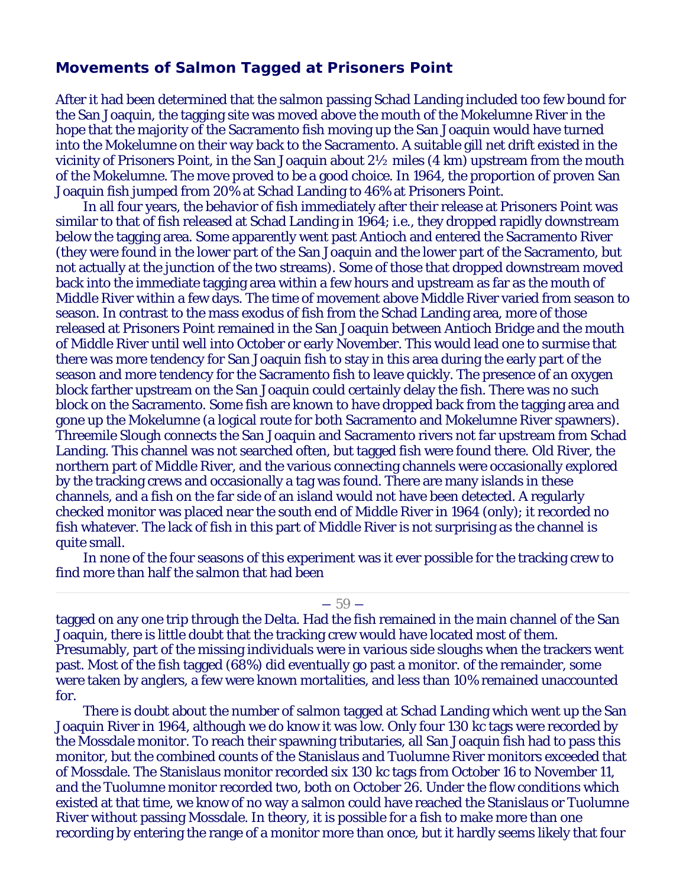#### **Movements of Salmon Tagged at Prisoners Point**

After it had been determined that the salmon passing Schad Landing included too few bound for the San Joaquin, the tagging site was moved above the mouth of the Mokelumne River in the hope that the majority of the Sacramento fish moving up the San Joaquin would have turned into the Mokelumne on their way back to the Sacramento. A suitable gill net drift existed in the vicinity of Prisoners Point, in the San Joaquin about 2½ miles (4 km) upstream from the mouth of the Mokelumne. The move proved to be a good choice. In 1964, the proportion of proven San Joaquin fish jumped from 20% at Schad Landing to 46% at Prisoners Point.

In all four years, the behavior of fish immediately after their release at Prisoners Point was similar to that of fish released at Schad Landing in 1964; i.e., they dropped rapidly downstream below the tagging area. Some apparently went past Antioch and entered the Sacramento River (they were found in the lower part of the San Joaquin and the lower part of the Sacramento, but not actually at the junction of the two streams). Some of those that dropped downstream moved back into the immediate tagging area within a few hours and upstream as far as the mouth of Middle River within a few days. The time of movement above Middle River varied from season to season. In contrast to the mass exodus of fish from the Schad Landing area, more of those released at Prisoners Point remained in the San Joaquin between Antioch Bridge and the mouth of Middle River until well into October or early November. This would lead one to surmise that there was more tendency for San Joaquin fish to stay in this area during the early part of the season and more tendency for the Sacramento fish to leave quickly. The presence of an oxygen block farther upstream on the San Joaquin could certainly delay the fish. There was no such block on the Sacramento. Some fish are known to have dropped back from the tagging area and gone up the Mokelumne (a logical route for both Sacramento and Mokelumne River spawners). Threemile Slough connects the San Joaquin and Sacramento rivers not far upstream from Schad Landing. This channel was not searched often, but tagged fish were found there. Old River, the northern part of Middle River, and the various connecting channels were occasionally explored by the tracking crews and occasionally a tag was found. There are many islands in these channels, and a fish on the far side of an island would not have been detected. A regularly checked monitor was placed near the south end of Middle River in 1964 (only); it recorded no fish whatever. The lack of fish in this part of Middle River is not surprising as the channel is quite small.

In none of the four seasons of this experiment was it ever possible for the tracking crew to find more than half the salmon that had been

#### $-59-$

tagged on any one trip through the Delta. Had the fish remained in the main channel of the San Joaquin, there is little doubt that the tracking crew would have located most of them. Presumably, part of the missing individuals were in various side sloughs when the trackers went past. Most of the fish tagged (68%) did eventually go past a monitor. of the remainder, some were taken by anglers, a few were known mortalities, and less than 10% remained unaccounted for.

There is doubt about the number of salmon tagged at Schad Landing which went up the San Joaquin River in 1964, although we do know it was low. Only four 130 kc tags were recorded by the Mossdale monitor. To reach their spawning tributaries, all San Joaquin fish had to pass this monitor, but the combined counts of the Stanislaus and Tuolumne River monitors exceeded that of Mossdale. The Stanislaus monitor recorded six 130 kc tags from October 16 to November 11, and the Tuolumne monitor recorded two, both on October 26. Under the flow conditions which existed at that time, we know of no way a salmon could have reached the Stanislaus or Tuolumne River without passing Mossdale. In theory, it is possible for a fish to make more than one recording by entering the range of a monitor more than once, but it hardly seems likely that four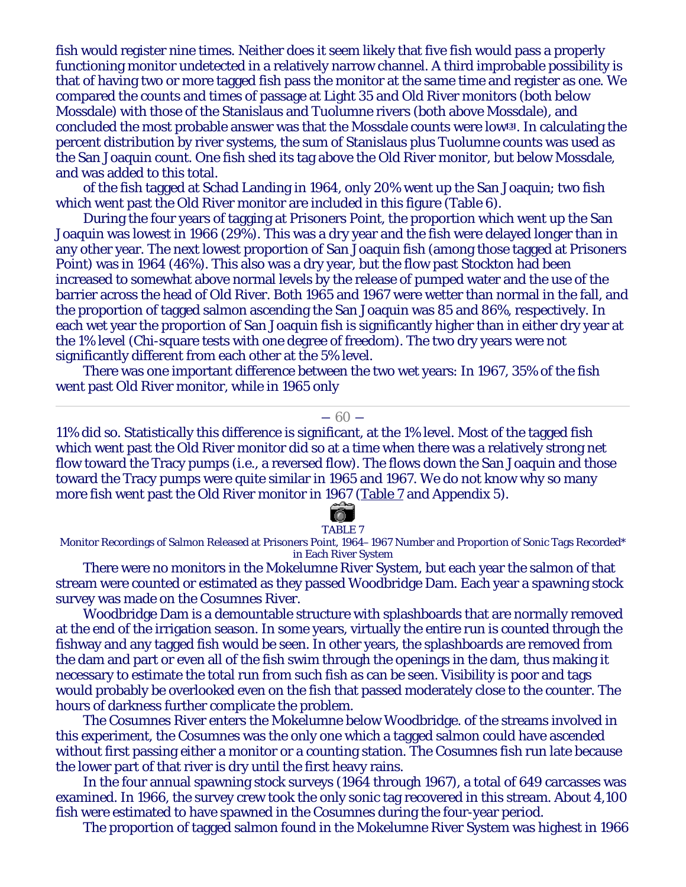fish would register nine times. Neither does it seem likely that five fish would pass a properly functioning monitor undetected in a relatively narrow channel. A third improbable possibility is that of having two or more tagged fish pass the monitor at the same time and register as one. We compared the counts and times of passage at Light 35 and Old River monitors (both below Mossdale) with those of the Stanislaus and Tuolumne rivers (both above Mossdale), and concluded the most probable answer was that the Mossdale counts were low**[3]**. In calculating the percent distribution by river systems, the sum of Stanislaus plus Tuolumne counts was used as the San Joaquin count. One fish shed its tag above the Old River monitor, but below Mossdale, and was added to this total.

of the fish tagged at Schad Landing in 1964, only 20% went up the San Joaquin; two fish which went past the Old River monitor are included in this figure (Table 6).

During the four years of tagging at Prisoners Point, the proportion which went up the San Joaquin was lowest in 1966 (29%). This was a dry year and the fish were delayed longer than in any other year. The next lowest proportion of San Joaquin fish (among those tagged at Prisoners Point) was in 1964 (46%). This also was a dry year, but the flow past Stockton had been increased to somewhat above normal levels by the release of pumped water and the use of the barrier across the head of Old River. Both 1965 and 1967 were wetter than normal in the fall, and the proportion of tagged salmon ascending the San Joaquin was 85 and 86%, respectively. In each wet year the proportion of San Joaquin fish is significantly higher than in either dry year at the 1% level (Chi-square tests with one degree of freedom). The two dry years were not significantly different from each other at the 5% level.

There was one important difference between the two wet years: In 1967, 35% of the fish went past Old River monitor, while in 1965 only

#### $-60-$

11% did so. Statistically this difference is significant, at the 1% level. Most of the tagged fish which went past the Old River monitor did so at a time when there was a relatively strong net flow toward the Tracy pumps (i.e., a reversed flow). The flows down the San Joaquin and those toward the Tracy pumps were quite similar in 1965 and 1967. We do not know why so many more fish went past the Old River monitor in 1967 (Table 7 and Appendix 5).

#### $\circ$ TABLE 7

Monitor Recordings of Salmon Released at Prisoners Point, 1964–1967 Number and Proportion of Sonic Tags Recorded\* in Each River System

There were no monitors in the Mokelumne River System, but each year the salmon of that stream were counted or estimated as they passed Woodbridge Dam. Each year a spawning stock survey was made on the Cosumnes River.

Woodbridge Dam is a demountable structure with splashboards that are normally removed at the end of the irrigation season. In some years, virtually the entire run is counted through the fishway and any tagged fish would be seen. In other years, the splashboards are removed from the dam and part or even all of the fish swim through the openings in the dam, thus making it necessary to estimate the total run from such fish as can be seen. Visibility is poor and tags would probably be overlooked even on the fish that passed moderately close to the counter. The hours of darkness further complicate the problem.

The Cosumnes River enters the Mokelumne below Woodbridge. of the streams involved in this experiment, the Cosumnes was the only one which a tagged salmon could have ascended without first passing either a monitor or a counting station. The Cosumnes fish run late because the lower part of that river is dry until the first heavy rains.

In the four annual spawning stock surveys (1964 through 1967), a total of 649 carcasses was examined. In 1966, the survey crew took the only sonic tag recovered in this stream. About 4,100 fish were estimated to have spawned in the Cosumnes during the four-year period.

The proportion of tagged salmon found in the Mokelumne River System was highest in 1966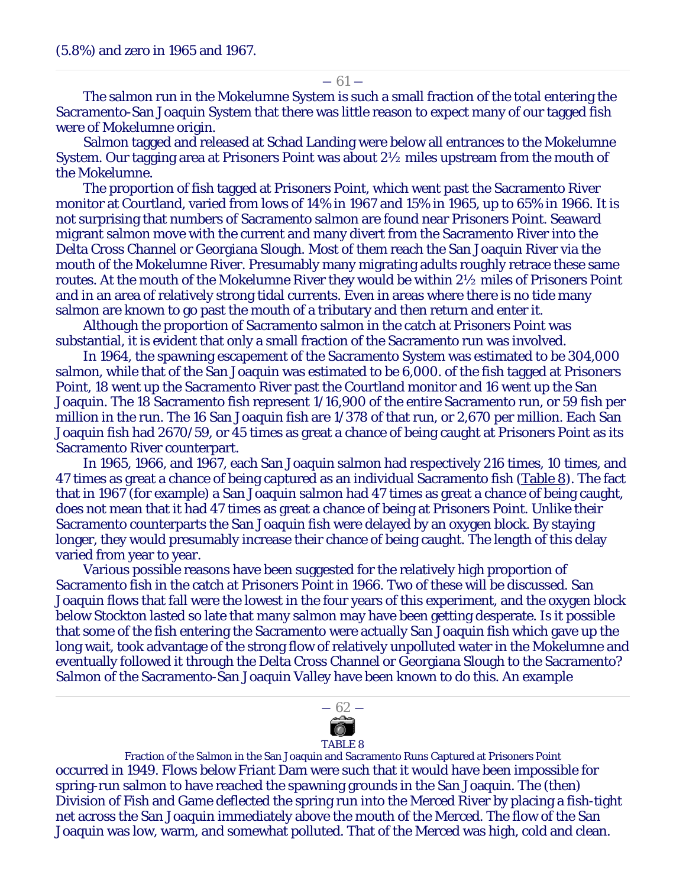$-61-$ 

The salmon run in the Mokelumne System is such a small fraction of the total entering the Sacramento-San Joaquin System that there was little reason to expect many of our tagged fish were of Mokelumne origin.

Salmon tagged and released at Schad Landing were below all entrances to the Mokelumne System. Our tagging area at Prisoners Point was about 2½ miles upstream from the mouth of the Mokelumne.

The proportion of fish tagged at Prisoners Point, which went past the Sacramento River monitor at Courtland, varied from lows of 14% in 1967 and 15% in 1965, up to 65% in 1966. It is not surprising that numbers of Sacramento salmon are found near Prisoners Point. Seaward migrant salmon move with the current and many divert from the Sacramento River into the Delta Cross Channel or Georgiana Slough. Most of them reach the San Joaquin River via the mouth of the Mokelumne River. Presumably many migrating adults roughly retrace these same routes. At the mouth of the Mokelumne River they would be within 2½ miles of Prisoners Point and in an area of relatively strong tidal currents. Even in areas where there is no tide many salmon are known to go past the mouth of a tributary and then return and enter it.

Although the proportion of Sacramento salmon in the catch at Prisoners Point was substantial, it is evident that only a small fraction of the Sacramento run was involved.

In 1964, the spawning escapement of the Sacramento System was estimated to be 304,000 salmon, while that of the San Joaquin was estimated to be 6,000. of the fish tagged at Prisoners Point, 18 went up the Sacramento River past the Courtland monitor and 16 went up the San Joaquin. The 18 Sacramento fish represent 1/16,900 of the entire Sacramento run, or 59 fish per million in the run. The 16 San Joaquin fish are 1/378 of that run, or 2,670 per million. Each San Joaquin fish had 2670/59, or 45 times as great a chance of being caught at Prisoners Point as its Sacramento River counterpart.

In 1965, 1966, and 1967, each San Joaquin salmon had respectively 216 times, 10 times, and 47 times as great a chance of being captured as an individual Sacramento fish (Table 8). The fact that in 1967 (for example) a San Joaquin salmon had 47 times as great a chance of being caught, does not mean that it had 47 times as great a chance of being at Prisoners Point. Unlike their Sacramento counterparts the San Joaquin fish were delayed by an oxygen block. By staying longer, they would presumably increase their chance of being caught. The length of this delay varied from year to year.

Various possible reasons have been suggested for the relatively high proportion of Sacramento fish in the catch at Prisoners Point in 1966. Two of these will be discussed. San Joaquin flows that fall were the lowest in the four years of this experiment, and the oxygen block below Stockton lasted so late that many salmon may have been getting desperate. Is it possible that some of the fish entering the Sacramento were actually San Joaquin fish which gave up the long wait, took advantage of the strong flow of relatively unpolluted water in the Mokelumne and eventually followed it through the Delta Cross Channel or Georgiana Slough to the Sacramento? Salmon of the Sacramento-San Joaquin Valley have been known to do this. An example



#### TABLE 8

Fraction of the Salmon in the San Joaquin and Sacramento Runs Captured at Prisoners Point occurred in 1949. Flows below Friant Dam were such that it would have been impossible for spring-run salmon to have reached the spawning grounds in the San Joaquin. The (then) Division of Fish and Game deflected the spring run into the Merced River by placing a fish-tight net across the San Joaquin immediately above the mouth of the Merced. The flow of the San Joaquin was low, warm, and somewhat polluted. That of the Merced was high, cold and clean.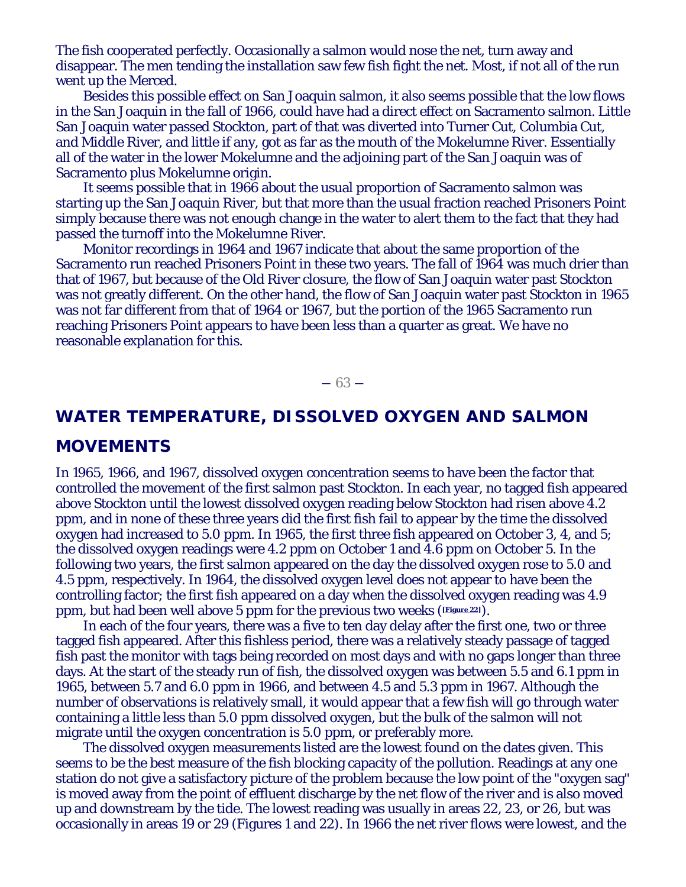The fish cooperated perfectly. Occasionally a salmon would nose the net, turn away and disappear. The men tending the installation saw few fish fight the net. Most, if not all of the run went up the Merced.

Besides this possible effect on San Joaquin salmon, it also seems possible that the low flows in the San Joaquin in the fall of 1966, could have had a direct effect on Sacramento salmon. Little San Joaquin water passed Stockton, part of that was diverted into Turner Cut, Columbia Cut, and Middle River, and little if any, got as far as the mouth of the Mokelumne River. Essentially all of the water in the lower Mokelumne and the adjoining part of the San Joaquin was of Sacramento plus Mokelumne origin.

It seems possible that in 1966 about the usual proportion of Sacramento salmon was starting up the San Joaquin River, but that more than the usual fraction reached Prisoners Point simply because there was not enough change in the water to alert them to the fact that they had passed the turnoff into the Mokelumne River.

Monitor recordings in 1964 and 1967 indicate that about the same proportion of the Sacramento run reached Prisoners Point in these two years. The fall of 1964 was much drier than that of 1967, but because of the Old River closure, the flow of San Joaquin water past Stockton was not greatly different. On the other hand, the flow of San Joaquin water past Stockton in 1965 was not far different from that of 1964 or 1967, but the portion of the 1965 Sacramento run reaching Prisoners Point appears to have been less than a quarter as great. We have no reasonable explanation for this.

 $-63-$ 

# **WATER TEMPERATURE, DISSOLVED OXYGEN AND SALMON**

# **MOVEMENTS**

In 1965, 1966, and 1967, dissolved oxygen concentration seems to have been the factor that controlled the movement of the first salmon past Stockton. In each year, no tagged fish appeared above Stockton until the lowest dissolved oxygen reading below Stockton had risen above 4.2 ppm, and in none of these three years did the first fish fail to appear by the time the dissolved oxygen had increased to 5.0 ppm. In 1965, the first three fish appeared on October 3, 4, and 5; the dissolved oxygen readings were 4.2 ppm on October 1 and 4.6 ppm on October 5. In the following two years, the first salmon appeared on the day the dissolved oxygen rose to 5.0 and 4.5 ppm, respectively. In 1964, the dissolved oxygen level does not appear to have been the controlling factor; the first fish appeared on a day when the dissolved oxygen reading was 4.9 ppm, but had been well above 5 ppm for the previous two weeks (**[Figure 22]**).

In each of the four years, there was a five to ten day delay after the first one, two or three tagged fish appeared. After this fishless period, there was a relatively steady passage of tagged fish past the monitor with tags being recorded on most days and with no gaps longer than three days. At the start of the steady run of fish, the dissolved oxygen was between 5.5 and 6.1 ppm in 1965, between 5.7 and 6.0 ppm in 1966, and between 4.5 and 5.3 ppm in 1967. Although the number of observations is relatively small, it would appear that a few fish will go through water containing a little less than 5.0 ppm dissolved oxygen, but the bulk of the salmon will not migrate until the oxygen concentration is 5.0 ppm, or preferably more.

The dissolved oxygen measurements listed are the lowest found on the dates given. This seems to be the best measure of the fish blocking capacity of the pollution. Readings at any one station do not give a satisfactory picture of the problem because the low point of the "oxygen sag" is moved away from the point of effluent discharge by the net flow of the river and is also moved up and downstream by the tide. The lowest reading was usually in areas 22, 23, or 26, but was occasionally in areas 19 or 29 (Figures 1 and 22). In 1966 the net river flows were lowest, and the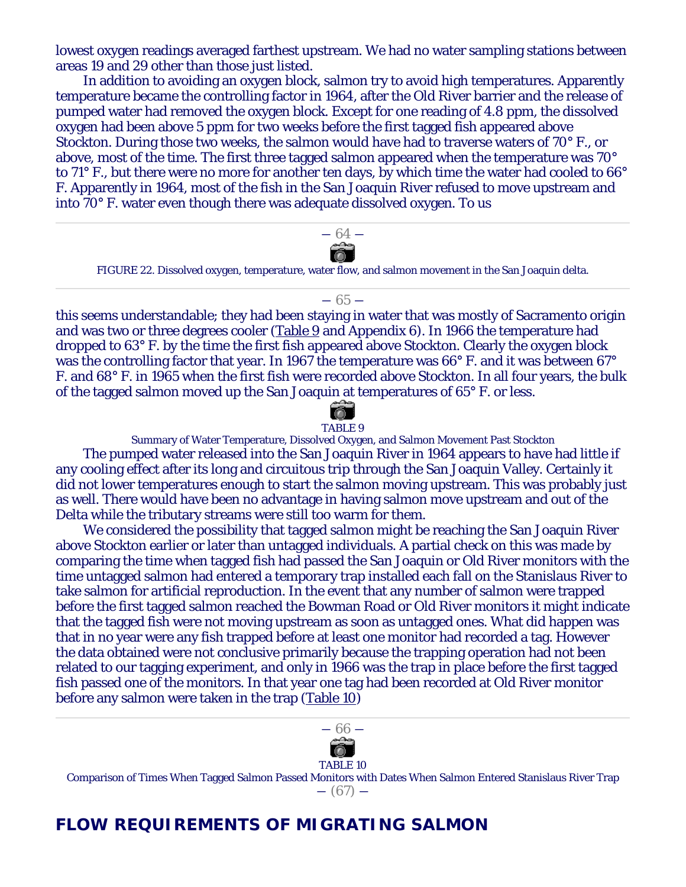lowest oxygen readings averaged farthest upstream. We had no water sampling stations between areas 19 and 29 other than those just listed.

In addition to avoiding an oxygen block, salmon try to avoid high temperatures. Apparently temperature became the controlling factor in 1964, after the Old River barrier and the release of pumped water had removed the oxygen block. Except for one reading of 4.8 ppm, the dissolved oxygen had been above 5 ppm for two weeks before the first tagged fish appeared above Stockton. During those two weeks, the salmon would have had to traverse waters of 70° F., or above, most of the time. The first three tagged salmon appeared when the temperature was 70° to 71° F., but there were no more for another ten days, by which time the water had cooled to 66° F. Apparently in 1964, most of the fish in the San Joaquin River refused to move upstream and into 70° F. water even though there was adequate dissolved oxygen. To us



this seems understandable; they had been staying in water that was mostly of Sacramento origin and was two or three degrees cooler (Table 9 and Appendix 6). In 1966 the temperature had dropped to 63° F. by the time the first fish appeared above Stockton. Clearly the oxygen block was the controlling factor that year. In 1967 the temperature was 66° F. and it was between 67° F. and 68° F. in 1965 when the first fish were recorded above Stockton. In all four years, the bulk of the tagged salmon moved up the San Joaquin at temperatures of 65° F. or less.



#### TABLE 9

Summary of Water Temperature, Dissolved Oxygen, and Salmon Movement Past Stockton The pumped water released into the San Joaquin River in 1964 appears to have had little if any cooling effect after its long and circuitous trip through the San Joaquin Valley. Certainly it did not lower temperatures enough to start the salmon moving upstream. This was probably just as well. There would have been no advantage in having salmon move upstream and out of the Delta while the tributary streams were still too warm for them.

We considered the possibility that tagged salmon might be reaching the San Joaquin River above Stockton earlier or later than untagged individuals. A partial check on this was made by comparing the time when tagged fish had passed the San Joaquin or Old River monitors with the time untagged salmon had entered a temporary trap installed each fall on the Stanislaus River to take salmon for artificial reproduction. In the event that any number of salmon were trapped before the first tagged salmon reached the Bowman Road or Old River monitors it might indicate that the tagged fish were not moving upstream as soon as untagged ones. What did happen was that in no year were any fish trapped before at least one monitor had recorded a tag. However the data obtained were not conclusive primarily because the trapping operation had not been related to our tagging experiment, and only in 1966 was the trap in place before the first tagged fish passed one of the monitors. In that year one tag had been recorded at Old River monitor before any salmon were taken in the trap (Table 10)



#### TABLE 10

Comparison of Times When Tagged Salmon Passed Monitors with Dates When Salmon Entered Stanislaus River Trap

― (67) ―

# **FLOW REQUIREMENTS OF MIGRATING SALMON**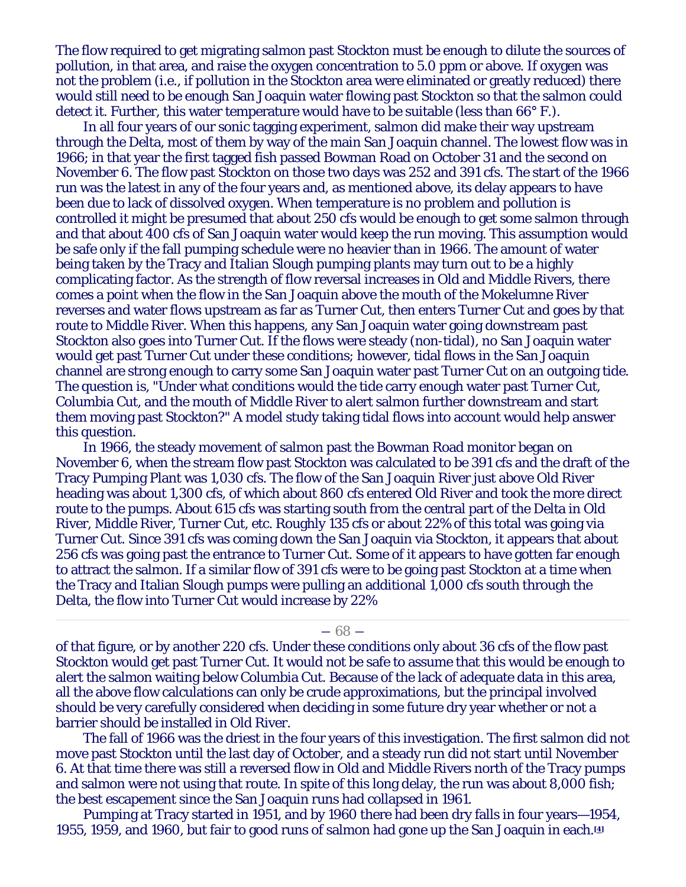The flow required to get migrating salmon past Stockton must be enough to dilute the sources of pollution, in that area, and raise the oxygen concentration to 5.0 ppm or above. If oxygen was not the problem (i.e., if pollution in the Stockton area were eliminated or greatly reduced) there would still need to be enough San Joaquin water flowing past Stockton so that the salmon could detect it. Further, this water temperature would have to be suitable (less than 66° F.).

In all four years of our sonic tagging experiment, salmon did make their way upstream through the Delta, most of them by way of the main San Joaquin channel. The lowest flow was in 1966; in that year the first tagged fish passed Bowman Road on October 31 and the second on November 6. The flow past Stockton on those two days was 252 and 391 cfs. The start of the 1966 run was the latest in any of the four years and, as mentioned above, its delay appears to have been due to lack of dissolved oxygen. When temperature is no problem and pollution is controlled it might be presumed that about 250 cfs would be enough to get some salmon through and that about 400 cfs of San Joaquin water would keep the run moving. This assumption would be safe only if the fall pumping schedule were no heavier than in 1966. The amount of water being taken by the Tracy and Italian Slough pumping plants may turn out to be a highly complicating factor. As the strength of flow reversal increases in Old and Middle Rivers, there comes a point when the flow in the San Joaquin above the mouth of the Mokelumne River reverses and water flows upstream as far as Turner Cut, then enters Turner Cut and goes by that route to Middle River. When this happens, any San Joaquin water going downstream past Stockton also goes into Turner Cut. If the flows were steady (non-tidal), no San Joaquin water would get past Turner Cut under these conditions; however, tidal flows in the San Joaquin channel are strong enough to carry some San Joaquin water past Turner Cut on an outgoing tide. The question is, "Under what conditions would the tide carry enough water past Turner Cut, Columbia Cut, and the mouth of Middle River to alert salmon further downstream and start them moving past Stockton?" A model study taking tidal flows into account would help answer this question.

In 1966, the steady movement of salmon past the Bowman Road monitor began on November 6, when the stream flow past Stockton was calculated to be 391 cfs and the draft of the Tracy Pumping Plant was 1,030 cfs. The flow of the San Joaquin River just above Old River heading was about 1,300 cfs, of which about 860 cfs entered Old River and took the more direct route to the pumps. About 615 cfs was starting south from the central part of the Delta in Old River, Middle River, Turner Cut, etc. Roughly 135 cfs or about 22% of this total was going via Turner Cut. Since 391 cfs was coming down the San Joaquin via Stockton, it appears that about 256 cfs was going past the entrance to Turner Cut. Some of it appears to have gotten far enough to attract the salmon. If a similar flow of 391 cfs were to be going past Stockton at a time when the Tracy and Italian Slough pumps were pulling an additional 1,000 cfs south through the Delta, the flow into Turner Cut would increase by 22%

 $-68-$ 

of that figure, or by another 220 cfs. Under these conditions only about 36 cfs of the flow past Stockton would get past Turner Cut. It would not be safe to assume that this would be enough to alert the salmon waiting below Columbia Cut. Because of the lack of adequate data in this area, all the above flow calculations can only be crude approximations, but the principal involved should be very carefully considered when deciding in some future dry year whether or not a barrier should be installed in Old River.

The fall of 1966 was the driest in the four years of this investigation. The first salmon did not move past Stockton until the last day of October, and a steady run did not start until November 6. At that time there was still a reversed flow in Old and Middle Rivers north of the Tracy pumps and salmon were not using that route. In spite of this long delay, the run was about 8,000 fish; the best escapement since the San Joaquin runs had collapsed in 1961.

Pumping at Tracy started in 1951, and by 1960 there had been dry falls in four years—1954, 1955, 1959, and 1960, but fair to good runs of salmon had gone up the San Joaquin in each.**[4]**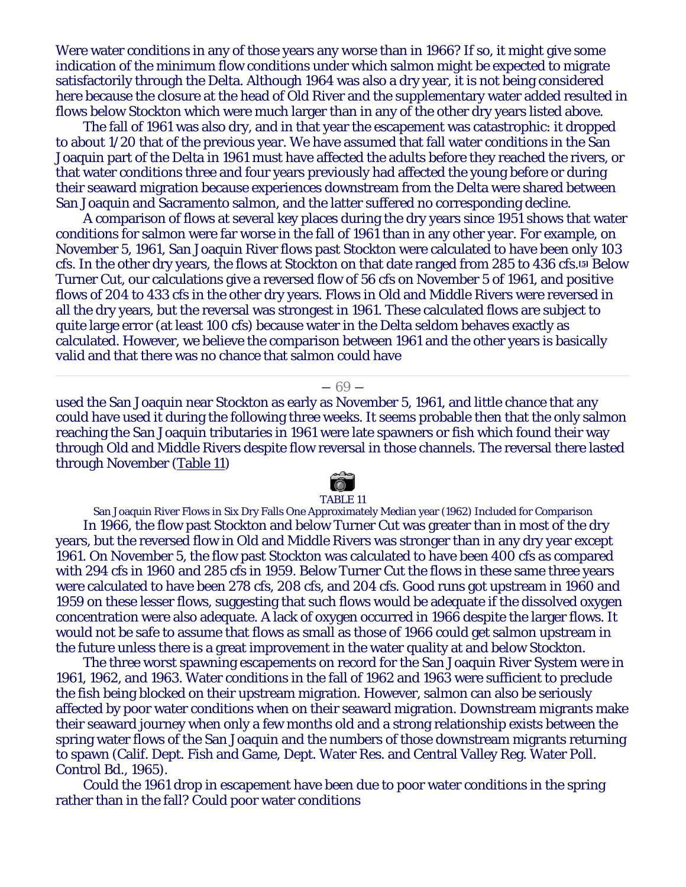Were water conditions in any of those years any worse than in 1966? If so, it might give some indication of the minimum flow conditions under which salmon might be expected to migrate satisfactorily through the Delta. Although 1964 was also a dry year, it is not being considered here because the closure at the head of Old River and the supplementary water added resulted in flows below Stockton which were much larger than in any of the other dry years listed above.

The fall of 1961 was also dry, and in that year the escapement was catastrophic: it dropped to about 1/20 that of the previous year. We have assumed that fall water conditions in the San Joaquin part of the Delta in 1961 must have affected the adults before they reached the rivers, or that water conditions three and four years previously had affected the young before or during their seaward migration because experiences downstream from the Delta were shared between San Joaquin and Sacramento salmon, and the latter suffered no corresponding decline.

A comparison of flows at several key places during the dry years since 1951 shows that water conditions for salmon were far worse in the fall of 1961 than in any other year. For example, on November 5, 1961, San Joaquin River flows past Stockton were calculated to have been only 103 cfs. In the other dry years, the flows at Stockton on that date ranged from 285 to 436 cfs.**[5]** Below Turner Cut, our calculations give a reversed flow of 56 cfs on November 5 of 1961, and positive flows of 204 to 433 cfs in the other dry years. Flows in Old and Middle Rivers were reversed in all the dry years, but the reversal was strongest in 1961. These calculated flows are subject to quite large error (at least 100 cfs) because water in the Delta seldom behaves exactly as calculated. However, we believe the comparison between 1961 and the other years is basically valid and that there was no chance that salmon could have

#### ― 69 ―

used the San Joaquin near Stockton as early as November 5, 1961, and little chance that any could have used it during the following three weeks. It seems probable then that the only salmon reaching the San Joaquin tributaries in 1961 were late spawners or fish which found their way through Old and Middle Rivers despite flow reversal in those channels. The reversal there lasted through November (Table 11)

# TABLE 11

San Joaquin River Flows in Six Dry Falls One Approximately Median year (1962) Included for Comparison In 1966, the flow past Stockton and below Turner Cut was greater than in most of the dry years, but the reversed flow in Old and Middle Rivers was stronger than in any dry year except 1961. On November 5, the flow past Stockton was calculated to have been 400 cfs as compared with 294 cfs in 1960 and 285 cfs in 1959. Below Turner Cut the flows in these same three years were calculated to have been 278 cfs, 208 cfs, and 204 cfs. Good runs got upstream in 1960 and 1959 on these lesser flows, suggesting that such flows would be adequate if the dissolved oxygen concentration were also adequate. A lack of oxygen occurred in 1966 despite the larger flows. It would not be safe to assume that flows as small as those of 1966 could get salmon upstream in the future unless there is a great improvement in the water quality at and below Stockton.

The three worst spawning escapements on record for the San Joaquin River System were in 1961, 1962, and 1963. Water conditions in the fall of 1962 and 1963 were sufficient to preclude the fish being blocked on their upstream migration. However, salmon can also be seriously affected by poor water conditions when on their seaward migration. Downstream migrants make their seaward journey when only a few months old and a strong relationship exists between the spring water flows of the San Joaquin and the numbers of those downstream migrants returning to spawn (Calif. Dept. Fish and Game, Dept. Water Res. and Central Valley Reg. Water Poll. Control Bd., 1965).

Could the 1961 drop in escapement have been due to poor water conditions in the spring rather than in the fall? Could poor water conditions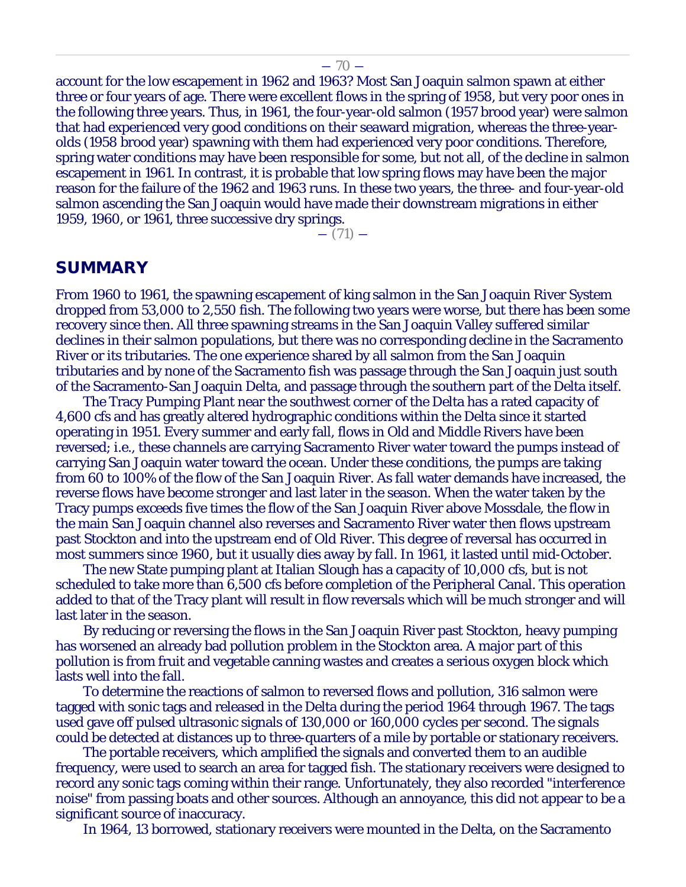account for the low escapement in 1962 and 1963? Most San Joaquin salmon spawn at either three or four years of age. There were excellent flows in the spring of 1958, but very poor ones in the following three years. Thus, in 1961, the four-year-old salmon (1957 brood year) were salmon that had experienced very good conditions on their seaward migration, whereas the three-yearolds (1958 brood year) spawning with them had experienced very poor conditions. Therefore, spring water conditions may have been responsible for some, but not all, of the decline in salmon escapement in 1961. In contrast, it is probable that low spring flows may have been the major reason for the failure of the 1962 and 1963 runs. In these two years, the three- and four-year-old salmon ascending the San Joaquin would have made their downstream migrations in either 1959, 1960, or 1961, three successive dry springs.

 $-$  (71)  $-$ 

#### **SUMMARY**

From 1960 to 1961, the spawning escapement of king salmon in the San Joaquin River System dropped from 53,000 to 2,550 fish. The following two years were worse, but there has been some recovery since then. All three spawning streams in the San Joaquin Valley suffered similar declines in their salmon populations, but there was no corresponding decline in the Sacramento River or its tributaries. The one experience shared by all salmon from the San Joaquin tributaries and by none of the Sacramento fish was passage through the San Joaquin just south of the Sacramento-San Joaquin Delta, and passage through the southern part of the Delta itself.

The Tracy Pumping Plant near the southwest corner of the Delta has a rated capacity of 4,600 cfs and has greatly altered hydrographic conditions within the Delta since it started operating in 1951. Every summer and early fall, flows in Old and Middle Rivers have been reversed; i.e., these channels are carrying Sacramento River water toward the pumps instead of carrying San Joaquin water toward the ocean. Under these conditions, the pumps are taking from 60 to 100% of the flow of the San Joaquin River. As fall water demands have increased, the reverse flows have become stronger and last later in the season. When the water taken by the Tracy pumps exceeds five times the flow of the San Joaquin River above Mossdale, the flow in the main San Joaquin channel also reverses and Sacramento River water then flows upstream past Stockton and into the upstream end of Old River. This degree of reversal has occurred in most summers since 1960, but it usually dies away by fall. In 1961, it lasted until mid-October.

The new State pumping plant at Italian Slough has a capacity of 10,000 cfs, but is not scheduled to take more than 6,500 cfs before completion of the Peripheral Canal. This operation added to that of the Tracy plant will result in flow reversals which will be much stronger and will last later in the season.

By reducing or reversing the flows in the San Joaquin River past Stockton, heavy pumping has worsened an already bad pollution problem in the Stockton area. A major part of this pollution is from fruit and vegetable canning wastes and creates a serious oxygen block which lasts well into the fall.

To determine the reactions of salmon to reversed flows and pollution, 316 salmon were tagged with sonic tags and released in the Delta during the period 1964 through 1967. The tags used gave off pulsed ultrasonic signals of 130,000 or 160,000 cycles per second. The signals could be detected at distances up to three-quarters of a mile by portable or stationary receivers.

The portable receivers, which amplified the signals and converted them to an audible frequency, were used to search an area for tagged fish. The stationary receivers were designed to record any sonic tags coming within their range. Unfortunately, they also recorded "interference noise" from passing boats and other sources. Although an annoyance, this did not appear to be a significant source of inaccuracy.

In 1964, 13 borrowed, stationary receivers were mounted in the Delta, on the Sacramento

#### $-70-$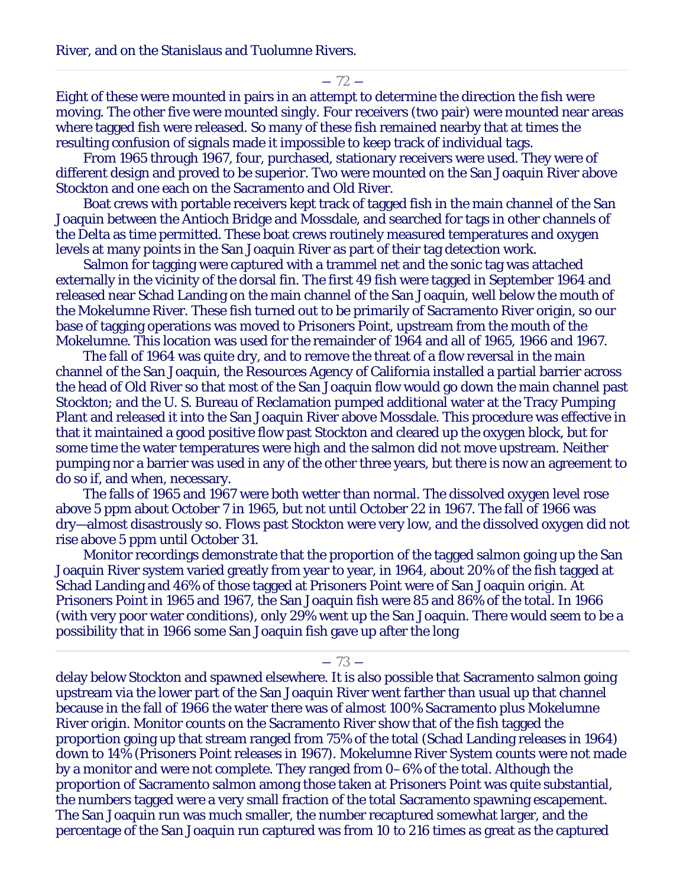River, and on the Stanislaus and Tuolumne Rivers.

 $-72-$ 

Eight of these were mounted in pairs in an attempt to determine the direction the fish were moving. The other five were mounted singly. Four receivers (two pair) were mounted near areas where tagged fish were released. So many of these fish remained nearby that at times the resulting confusion of signals made it impossible to keep track of individual tags.

From 1965 through 1967, four, purchased, stationary receivers were used. They were of different design and proved to be superior. Two were mounted on the San Joaquin River above Stockton and one each on the Sacramento and Old River.

Boat crews with portable receivers kept track of tagged fish in the main channel of the San Joaquin between the Antioch Bridge and Mossdale, and searched for tags in other channels of the Delta as time permitted. These boat crews routinely measured temperatures and oxygen levels at many points in the San Joaquin River as part of their tag detection work.

Salmon for tagging were captured with a trammel net and the sonic tag was attached externally in the vicinity of the dorsal fin. The first 49 fish were tagged in September 1964 and released near Schad Landing on the main channel of the San Joaquin, well below the mouth of the Mokelumne River. These fish turned out to be primarily of Sacramento River origin, so our base of tagging operations was moved to Prisoners Point, upstream from the mouth of the Mokelumne. This location was used for the remainder of 1964 and all of 1965, 1966 and 1967.

The fall of 1964 was quite dry, and to remove the threat of a flow reversal in the main channel of the San Joaquin, the Resources Agency of California installed a partial barrier across the head of Old River so that most of the San Joaquin flow would go down the main channel past Stockton; and the U. S. Bureau of Reclamation pumped additional water at the Tracy Pumping Plant and released it into the San Joaquin River above Mossdale. This procedure was effective in that it maintained a good positive flow past Stockton and cleared up the oxygen block, but for some time the water temperatures were high and the salmon did not move upstream. Neither pumping nor a barrier was used in any of the other three years, but there is now an agreement to do so if, and when, necessary.

The falls of 1965 and 1967 were both wetter than normal. The dissolved oxygen level rose above 5 ppm about October 7 in 1965, but not until October 22 in 1967. The fall of 1966 was dry—almost disastrously so. Flows past Stockton were very low, and the dissolved oxygen did not rise above 5 ppm until October 31.

Monitor recordings demonstrate that the proportion of the tagged salmon going up the San Joaquin River system varied greatly from year to year, in 1964, about 20% of the fish tagged at Schad Landing and 46% of those tagged at Prisoners Point were of San Joaquin origin. At Prisoners Point in 1965 and 1967, the San Joaquin fish were 85 and 86% of the total. In 1966 (with very poor water conditions), only 29% went up the San Joaquin. There would seem to be a possibility that in 1966 some San Joaquin fish gave up after the long

 $-73-$ 

delay below Stockton and spawned elsewhere. It is also possible that Sacramento salmon going upstream via the lower part of the San Joaquin River went farther than usual up that channel because in the fall of 1966 the water there was of almost 100% Sacramento plus Mokelumne River origin. Monitor counts on the Sacramento River show that of the fish tagged the proportion going up that stream ranged from 75% of the total (Schad Landing releases in 1964) down to 14% (Prisoners Point releases in 1967). Mokelumne River System counts were not made by a monitor and were not complete. They ranged from 0–6% of the total. Although the proportion of Sacramento salmon among those taken at Prisoners Point was quite substantial, the numbers tagged were a very small fraction of the total Sacramento spawning escapement. The San Joaquin run was much smaller, the number recaptured somewhat larger, and the percentage of the San Joaquin run captured was from 10 to 216 times as great as the captured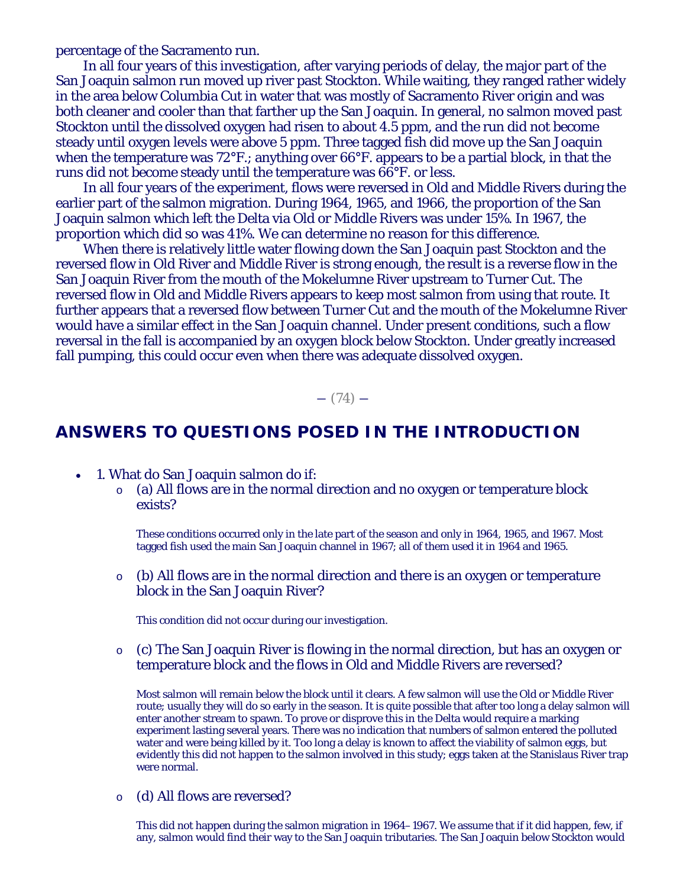percentage of the Sacramento run.

In all four years of this investigation, after varying periods of delay, the major part of the San Joaquin salmon run moved up river past Stockton. While waiting, they ranged rather widely in the area below Columbia Cut in water that was mostly of Sacramento River origin and was both cleaner and cooler than that farther up the San Joaquin. In general, no salmon moved past Stockton until the dissolved oxygen had risen to about 4.5 ppm, and the run did not become steady until oxygen levels were above 5 ppm. Three tagged fish did move up the San Joaquin when the temperature was 72°F.; anything over 66°F. appears to be a partial block, in that the runs did not become steady until the temperature was 66°F. or less.

In all four years of the experiment, flows were reversed in Old and Middle Rivers during the earlier part of the salmon migration. During 1964, 1965, and 1966, the proportion of the San Joaquin salmon which left the Delta via Old or Middle Rivers was under 15%. In 1967, the proportion which did so was 41%. We can determine no reason for this difference.

When there is relatively little water flowing down the San Joaquin past Stockton and the reversed flow in Old River and Middle River is strong enough, the result is a reverse flow in the San Joaquin River from the mouth of the Mokelumne River upstream to Turner Cut. The reversed flow in Old and Middle Rivers appears to keep most salmon from using that route. It further appears that a reversed flow between Turner Cut and the mouth of the Mokelumne River would have a similar effect in the San Joaquin channel. Under present conditions, such a flow reversal in the fall is accompanied by an oxygen block below Stockton. Under greatly increased fall pumping, this could occur even when there was adequate dissolved oxygen.

 $- (74) -$ 

# **ANSWERS TO QUESTIONS POSED IN THE INTRODUCTION**

- 1. What do San Joaquin salmon do if:
	- o (a) All flows are in the normal direction and no oxygen or temperature block exists?

These conditions occurred only in the late part of the season and only in 1964, 1965, and 1967. Most tagged fish used the main San Joaquin channel in 1967; all of them used it in 1964 and 1965.

 $\circ$  (b) All flows are in the normal direction and there is an oxygen or temperature block in the San Joaquin River?

This condition did not occur during our investigation.

o (c) The San Joaquin River is flowing in the normal direction, but has an oxygen or temperature block and the flows in Old and Middle Rivers are reversed?

Most salmon will remain below the block until it clears. A few salmon will use the Old or Middle River route; usually they will do so early in the season. It is quite possible that after too long a delay salmon will enter another stream to spawn. To prove or disprove this in the Delta would require a marking experiment lasting several years. There was no indication that numbers of salmon entered the polluted water and were being killed by it. Too long a delay is known to affect the viability of salmon eggs, but evidently this did not happen to the salmon involved in this study; eggs taken at the Stanislaus River trap were normal.

o (d) All flows are reversed?

This did not happen during the salmon migration in 1964–1967. We assume that if it did happen, few, if any, salmon would find their way to the San Joaquin tributaries. The San Joaquin below Stockton would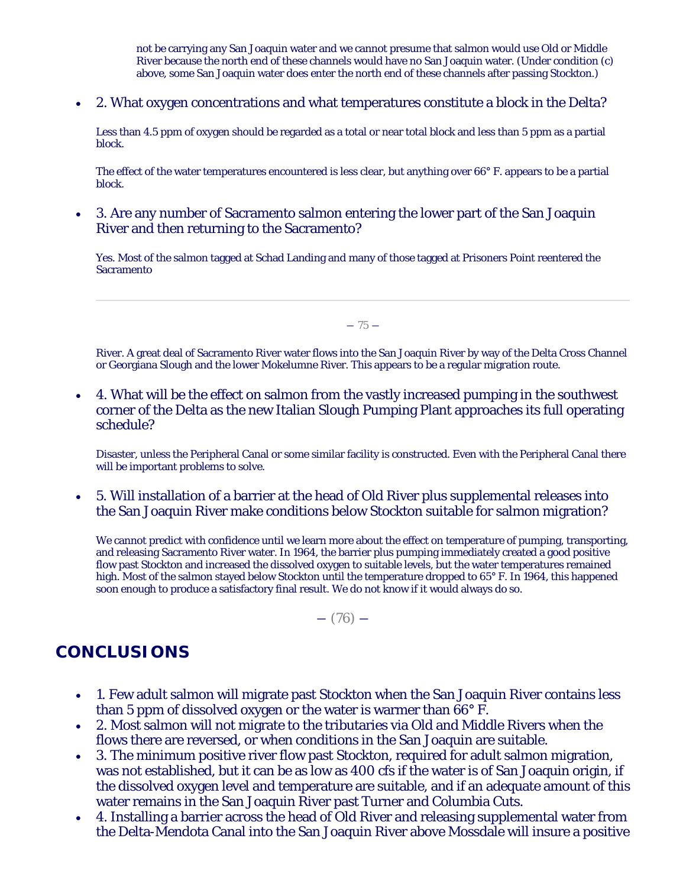not be carrying any San Joaquin water and we cannot presume that salmon would use Old or Middle River because the north end of these channels would have no San Joaquin water. (Under condition (c) above, some San Joaquin water does enter the north end of these channels after passing Stockton.)

• 2. What oxygen concentrations and what temperatures constitute a block in the Delta?

Less than 4.5 ppm of oxygen should be regarded as a total or near total block and less than 5 ppm as a partial block.

The effect of the water temperatures encountered is less clear, but anything over 66° F. appears to be a partial block.

• 3. Are any number of Sacramento salmon entering the lower part of the San Joaquin River and then returning to the Sacramento?

Yes. Most of the salmon tagged at Schad Landing and many of those tagged at Prisoners Point reentered the Sacramento

 $-75-$ 

River. A great deal of Sacramento River water flows into the San Joaquin River by way of the Delta Cross Channel or Georgiana Slough and the lower Mokelumne River. This appears to be a regular migration route.

• 4. What will be the effect on salmon from the vastly increased pumping in the southwest corner of the Delta as the new Italian Slough Pumping Plant approaches its full operating schedule?

Disaster, unless the Peripheral Canal or some similar facility is constructed. Even with the Peripheral Canal there will be important problems to solve.

• 5. Will installation of a barrier at the head of Old River plus supplemental releases into the San Joaquin River make conditions below Stockton suitable for salmon migration?

We cannot predict with confidence until we learn more about the effect on temperature of pumping, transporting, and releasing Sacramento River water. In 1964, the barrier plus pumping immediately created a good positive flow past Stockton and increased the dissolved oxygen to suitable levels, but the water temperatures remained high. Most of the salmon stayed below Stockton until the temperature dropped to 65° F. In 1964, this happened soon enough to produce a satisfactory final result. We do not know if it would always do so.

 $-$  (76)  $-$ 

# **CONCLUSIONS**

- 1. Few adult salmon will migrate past Stockton when the San Joaquin River contains less than 5 ppm of dissolved oxygen or the water is warmer than 66° F.
- 2. Most salmon will not migrate to the tributaries via Old and Middle Rivers when the flows there are reversed, or when conditions in the San Joaquin are suitable.
- 3. The minimum positive river flow past Stockton, required for adult salmon migration, was not established, but it can be as low as 400 cfs if the water is of San Joaquin origin, if the dissolved oxygen level and temperature are suitable, and if an adequate amount of this water remains in the San Joaquin River past Turner and Columbia Cuts.
- 4. Installing a barrier across the head of Old River and releasing supplemental water from the Delta-Mendota Canal into the San Joaquin River above Mossdale will insure a positive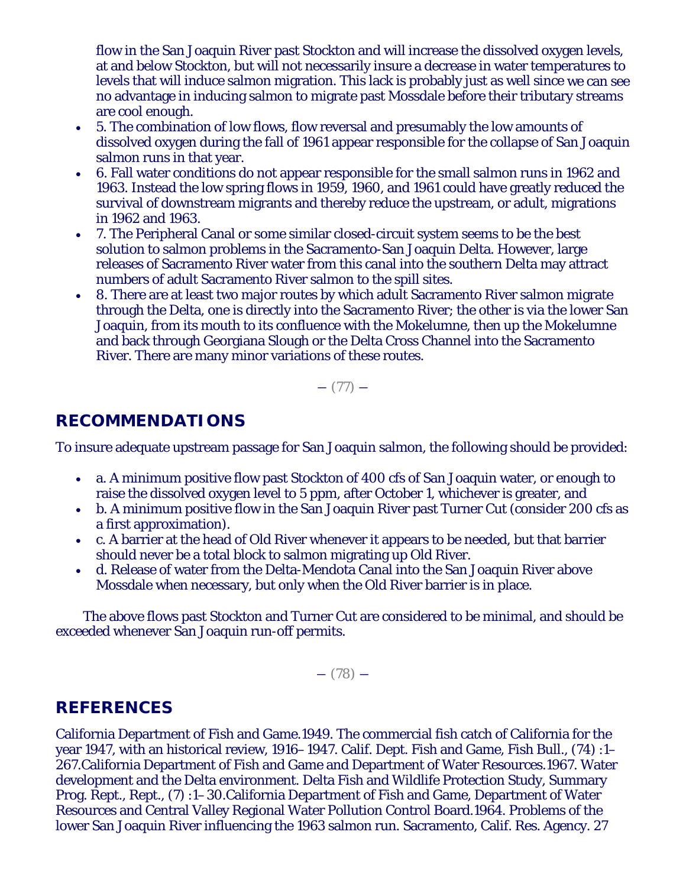flow in the San Joaquin River past Stockton and will increase the dissolved oxygen levels, at and below Stockton, but will not necessarily insure a decrease in water temperatures to levels that will induce salmon migration. This lack is probably just as well since we can see no advantage in inducing salmon to migrate past Mossdale before their tributary streams are cool enough.

- 5. The combination of low flows, flow reversal and presumably the low amounts of dissolved oxygen during the fall of 1961 appear responsible for the collapse of San Joaquin salmon runs in that year.
- 6. Fall water conditions do not appear responsible for the small salmon runs in 1962 and 1963. Instead the low spring flows in 1959, 1960, and 1961 could have greatly reduced the survival of downstream migrants and thereby reduce the upstream, or adult, migrations in 1962 and 1963.
- 7. The Peripheral Canal or some similar closed-circuit system seems to be the best solution to salmon problems in the Sacramento-San Joaquin Delta. However, large releases of Sacramento River water from this canal into the southern Delta may attract numbers of adult Sacramento River salmon to the spill sites.
- 8. There are at least two major routes by which adult Sacramento River salmon migrate through the Delta, one is directly into the Sacramento River; the other is via the lower San Joaquin, from its mouth to its confluence with the Mokelumne, then up the Mokelumne and back through Georgiana Slough or the Delta Cross Channel into the Sacramento River. There are many minor variations of these routes.

 $-$  (77)  $-$ 

# **RECOMMENDATIONS**

To insure adequate upstream passage for San Joaquin salmon, the following should be provided:

- a. A minimum positive flow past Stockton of 400 cfs of San Joaquin water, or enough to raise the dissolved oxygen level to 5 ppm, after October 1, whichever is greater, and
- b. A minimum positive flow in the San Joaquin River past Turner Cut (consider 200 cfs as a first approximation).
- c. A barrier at the head of Old River whenever it appears to be needed, but that barrier should never be a total block to salmon migrating up Old River.
- d. Release of water from the Delta-Mendota Canal into the San Joaquin River above Mossdale when necessary, but only when the Old River barrier is in place.

The above flows past Stockton and Turner Cut are considered to be minimal, and should be exceeded whenever San Joaquin run-off permits.

 $-$  (78)  $-$ 

# **REFERENCES**

California Department of Fish and Game.1949. The commercial fish catch of California for the year 1947, with an historical review, 1916–1947. Calif. Dept. Fish and Game, Fish Bull., (74) :1– 267.California Department of Fish and Game and Department of Water Resources.1967. Water development and the Delta environment. Delta Fish and Wildlife Protection Study, Summary Prog. Rept., Rept., (7) :1–30.California Department of Fish and Game, Department of Water Resources and Central Valley Regional Water Pollution Control Board.1964. Problems of the lower San Joaquin River influencing the 1963 salmon run. Sacramento, Calif. Res. Agency. 27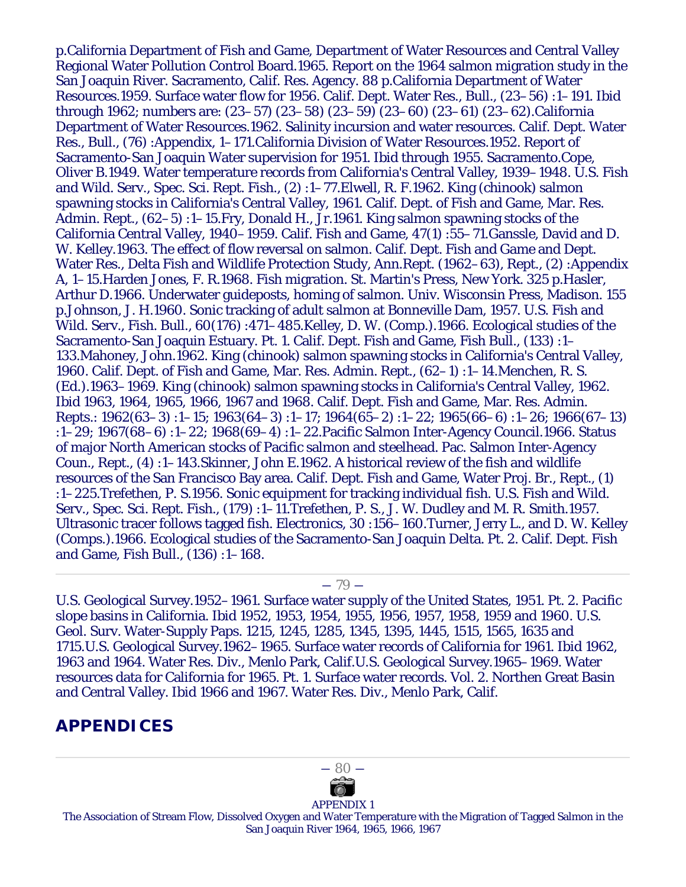p.California Department of Fish and Game, Department of Water Resources and Central Valley Regional Water Pollution Control Board.1965. Report on the 1964 salmon migration study in the San Joaquin River. Sacramento, Calif. Res. Agency. 88 p.California Department of Water Resources.1959. Surface water flow for 1956. Calif. Dept. Water Res., Bull., (23–56) :1–191. *Ibid* through 1962; numbers are: (23–57) (23–58) (23–59) (23–60) (23–61) (23–62).California Department of Water Resources.1962. Salinity incursion and water resources. Calif. Dept. Water Res., Bull., (76) :Appendix, 1–171.California Division of Water Resources.1952. Report of Sacramento-San Joaquin Water supervision for 1951. *Ibid* through 1955. Sacramento.Cope, Oliver B.1949. Water temperature records from California's Central Valley, 1939–1948. U.S. Fish and Wild. Serv., Spec. Sci. Rept. Fish., (2) :1–77.Elwell, R. F.1962. King (chinook) salmon spawning stocks in California's Central Valley, 1961. Calif. Dept. of Fish and Game, Mar. Res. Admin. Rept., (62–5) :1–15.Fry, Donald H., Jr.1961. King salmon spawning stocks of the California Central Valley, 1940–1959. Calif. Fish and Game, 47(1) :55–71.Ganssle, David and D. W. Kelley.1963. The effect of flow reversal on salmon. Calif. Dept. Fish and Game and Dept. Water Res., Delta Fish and Wildlife Protection Study, Ann.Rept. (1962–63), Rept., (2) :Appendix A, 1–15.Harden Jones, F. R.1968. Fish migration. St. Martin's Press, New York. 325 p.Hasler, Arthur D.1966. Underwater guideposts, homing of salmon. Univ. Wisconsin Press, Madison. 155 p.Johnson, J. H.1960. Sonic tracking of adult salmon at Bonneville Dam, 1957. U.S. Fish and Wild. Serv., Fish. Bull., 60(176) :471–485.Kelley, D. W. (Comp.).1966. Ecological studies of the Sacramento-San Joaquin Estuary. Pt. 1. Calif. Dept. Fish and Game, Fish Bull., (133) :1– 133.Mahoney, John.1962. King (chinook) salmon spawning stocks in California's Central Valley, 1960. Calif. Dept. of Fish and Game, Mar. Res. Admin. Rept., (62–1) :1–14.Menchen, R. S. (Ed.).1963–1969. King (chinook) salmon spawning stocks in California's Central Valley, 1962. *Ibid* 1963, 1964, 1965, 1966, 1967 and 1968. Calif. Dept. Fish and Game, Mar. Res. Admin. Repts.: 1962(63–3) :1–15; 1963(64–3) :1–17; 1964(65–2) :1–22; 1965(66–6) :1–26; 1966(67–13) :1–29; 1967(68–6) :1–22; 1968(69–4) :1–22.Pacific Salmon Inter-Agency Council.1966. Status of major North American stocks of Pacific salmon and steelhead. Pac. Salmon Inter-Agency Coun., Rept., (4) :1–143.Skinner, John E.1962. A historical review of the fish and wildlife resources of the San Francisco Bay area. Calif. Dept. Fish and Game, Water Proj. Br., Rept., (1) :1–225.Trefethen, P. S.1956. Sonic equipment for tracking individual fish. U.S. Fish and Wild. Serv., Spec. Sci. Rept. Fish., (179) :1–11.Trefethen, P. S., J. W. Dudley and M. R. Smith.1957. Ultrasonic tracer follows tagged fish. Electronics, 30 :156–160.Turner, Jerry L., and D. W. Kelley (Comps.).1966. Ecological studies of the Sacramento-San Joaquin Delta. Pt. 2. Calif. Dept. Fish and Game, Fish Bull., (136) :1–168.

#### $-79-$

U.S. Geological Survey.1952–1961. Surface water supply of the United States, 1951. Pt. 2. Pacific slope basins in California. *Ibid* 1952, 1953, 1954, 1955, 1956, 1957, 1958, 1959 and 1960. U.S. Geol. Surv. Water-Supply Paps. 1215, 1245, 1285, 1345, 1395, 1445, 1515, 1565, 1635 and 1715.U.S. Geological Survey.1962–1965. Surface water records of California for 1961. *Ibid* 1962, 1963 and 1964. Water Res. Div., Menlo Park, Calif.U.S. Geological Survey.1965–1969. Water resources data for California for 1965. Pt. 1. Surface water records. Vol. 2. Northen Great Basin and Central Valley. *Ibid* 1966 and 1967. Water Res. Div., Menlo Park, Calif.

# **APPENDICES**



APPENDIX 1

The Association of Stream Flow, Dissolved Oxygen and Water Temperature with the Migration of Tagged Salmon in the San Joaquin River 1964, 1965, 1966, 1967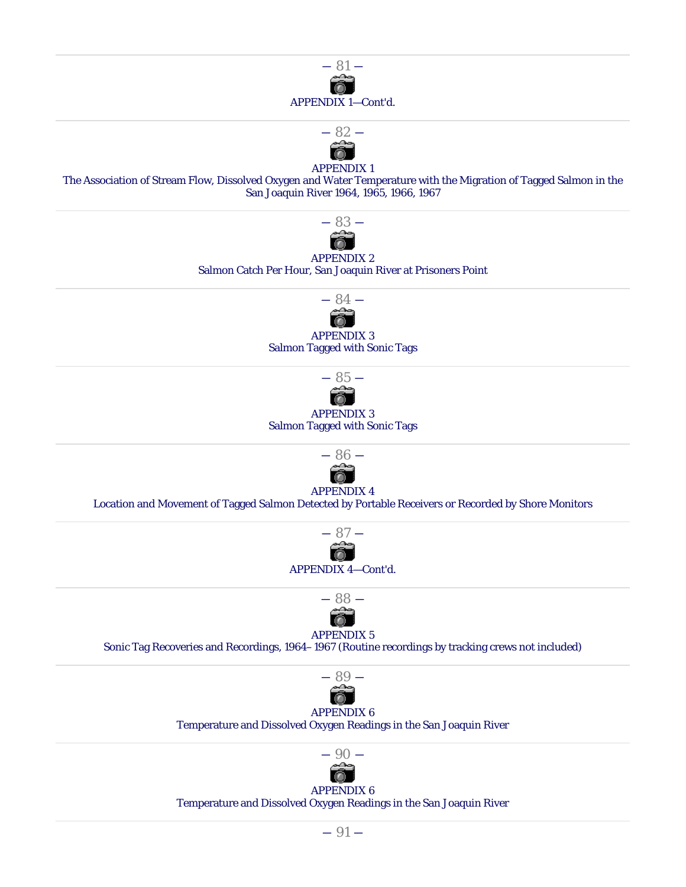



#### APPENDIX 1

The Association of Stream Flow, Dissolved Oxygen and Water Temperature with the Migration of Tagged Salmon in the San Joaquin River 1964, 1965, 1966, 1967



APPENDIX 2 Salmon Catch Per Hour, San Joaquin River at Prisoners Point





#### APPENDIX 3 Salmon Tagged with Sonic Tags



#### APPENDIX 4

Location and Movement of Tagged Salmon Detected by Portable Receivers or Recorded by Shore Monitors





#### APPENDIX 5

Sonic Tag Recoveries and Recordings, 1964–1967 (Routine recordings by tracking crews not included)



# APPENDIX 6

Temperature and Dissolved Oxygen Readings in the San Joaquin River



# APPENDIX 6

Temperature and Dissolved Oxygen Readings in the San Joaquin River